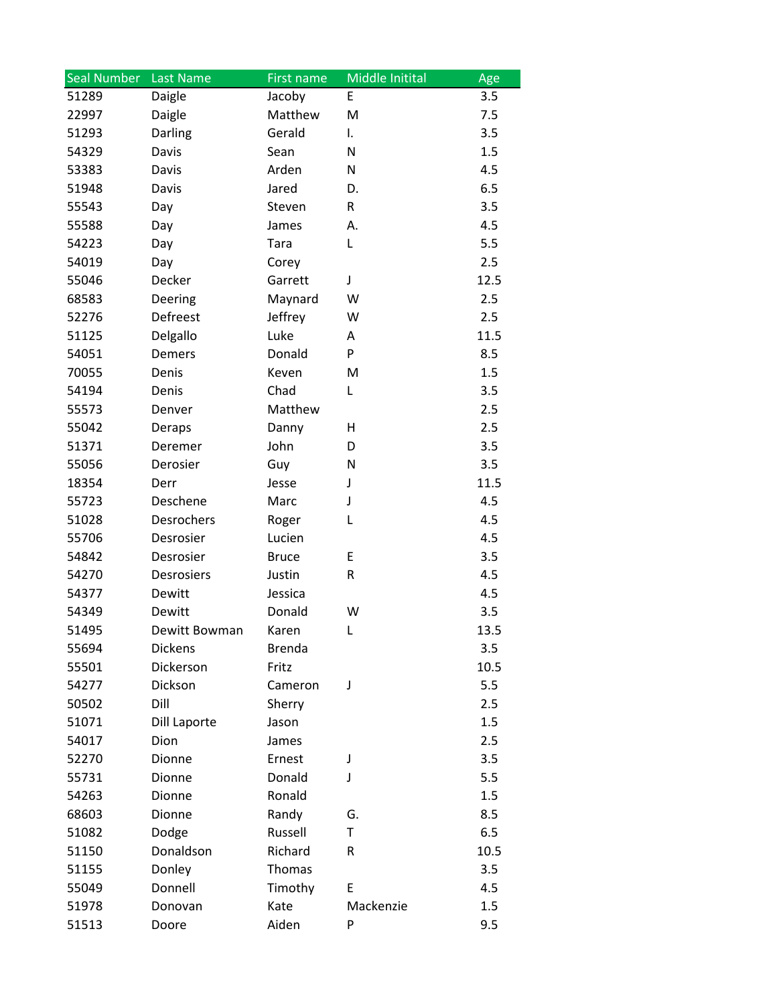| <b>Seal Number</b> | <b>Last Name</b> | First name    | Middle Initital | Age  |
|--------------------|------------------|---------------|-----------------|------|
| 51289              | Daigle           | Jacoby        | E               | 3.5  |
| 22997              | Daigle           | Matthew       | M               | 7.5  |
| 51293              | Darling          | Gerald        | I.              | 3.5  |
| 54329              | Davis            | Sean          | N               | 1.5  |
| 53383              | Davis            | Arden         | N               | 4.5  |
| 51948              | Davis            | Jared         | D.              | 6.5  |
| 55543              | Day              | Steven        | R               | 3.5  |
| 55588              | Day              | James         | А.              | 4.5  |
| 54223              | Day              | Tara          | L               | 5.5  |
| 54019              | Day              | Corey         |                 | 2.5  |
| 55046              | Decker           | Garrett       | J               | 12.5 |
| 68583              | Deering          | Maynard       | W               | 2.5  |
| 52276              | Defreest         | Jeffrey       | W               | 2.5  |
| 51125              | Delgallo         | Luke          | Α               | 11.5 |
| 54051              | Demers           | Donald        | P               | 8.5  |
| 70055              | Denis            | Keven         | M               | 1.5  |
| 54194              | Denis            | Chad          | L               | 3.5  |
| 55573              | Denver           | Matthew       |                 | 2.5  |
| 55042              | Deraps           | Danny         | Η               | 2.5  |
| 51371              | Deremer          | John          | D               | 3.5  |
| 55056              | Derosier         | Guy           | N               | 3.5  |
| 18354              | Derr             | Jesse         | J               | 11.5 |
| 55723              | Deschene         | Marc          | J               | 4.5  |
| 51028              | Desrochers       | Roger         | L               | 4.5  |
| 55706              | Desrosier        | Lucien        |                 | 4.5  |
| 54842              | Desrosier        | <b>Bruce</b>  | E               | 3.5  |
| 54270              | Desrosiers       | Justin        | R               | 4.5  |
| 54377              | Dewitt           | Jessica       |                 | 4.5  |
| 54349              | Dewitt           | Donald        | W               | 3.5  |
| 51495              | Dewitt Bowman    | Karen         | L               | 13.5 |
| 55694              | <b>Dickens</b>   | <b>Brenda</b> |                 | 3.5  |
| 55501              | Dickerson        | Fritz         |                 | 10.5 |
| 54277              | Dickson          | Cameron       | J               | 5.5  |
| 50502              | Dill             | Sherry        |                 | 2.5  |
| 51071              | Dill Laporte     | Jason         |                 | 1.5  |
| 54017              | Dion             | James         |                 | 2.5  |
| 52270              | Dionne           | Ernest        | J               | 3.5  |
| 55731              | Dionne           | Donald        | J               | 5.5  |
| 54263              | Dionne           | Ronald        |                 | 1.5  |
| 68603              | Dionne           | Randy         | G.              | 8.5  |
| 51082              | Dodge            | Russell       | T               | 6.5  |
| 51150              | Donaldson        | Richard       | R               | 10.5 |
| 51155              | Donley           | Thomas        |                 | 3.5  |
| 55049              | Donnell          | Timothy       | E               | 4.5  |
| 51978              | Donovan          | Kate          | Mackenzie       | 1.5  |
| 51513              | Doore            | Aiden         | P               | 9.5  |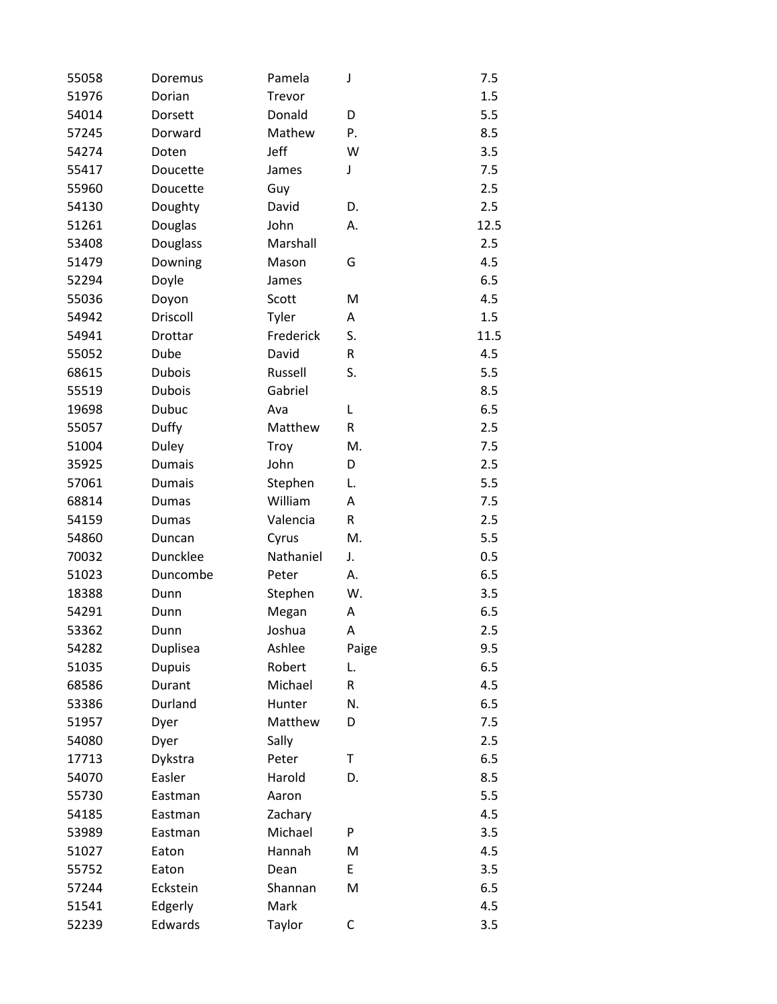| 55058 | Doremus       | Pamela    | J     | 7.5  |
|-------|---------------|-----------|-------|------|
| 51976 | Dorian        | Trevor    |       | 1.5  |
| 54014 | Dorsett       | Donald    | D     | 5.5  |
| 57245 | Dorward       | Mathew    | Ρ.    | 8.5  |
| 54274 | Doten         | Jeff      | W     | 3.5  |
| 55417 | Doucette      | James     | J     | 7.5  |
| 55960 | Doucette      | Guy       |       | 2.5  |
| 54130 | Doughty       | David     | D.    | 2.5  |
| 51261 | Douglas       | John      | А.    | 12.5 |
| 53408 | Douglass      | Marshall  |       | 2.5  |
| 51479 | Downing       | Mason     | G     | 4.5  |
| 52294 | Doyle         | James     |       | 6.5  |
| 55036 | Doyon         | Scott     | M     | 4.5  |
| 54942 | Driscoll      | Tyler     | Α     | 1.5  |
| 54941 | Drottar       | Frederick | S.    | 11.5 |
| 55052 | Dube          | David     | R     | 4.5  |
| 68615 | <b>Dubois</b> | Russell   | S.    | 5.5  |
| 55519 | <b>Dubois</b> | Gabriel   |       | 8.5  |
| 19698 | Dubuc         | Ava       | L     | 6.5  |
| 55057 | Duffy         | Matthew   | R     | 2.5  |
| 51004 | Duley         | Troy      | M.    | 7.5  |
| 35925 | <b>Dumais</b> | John      | D     | 2.5  |
| 57061 | <b>Dumais</b> | Stephen   | L.    | 5.5  |
| 68814 | Dumas         | William   | A     | 7.5  |
| 54159 | Dumas         | Valencia  | R     | 2.5  |
| 54860 | Duncan        | Cyrus     | M.    | 5.5  |
| 70032 | Duncklee      | Nathaniel | J.    | 0.5  |
| 51023 | Duncombe      | Peter     | А.    | 6.5  |
| 18388 | Dunn          | Stephen   | W.    | 3.5  |
| 54291 | Dunn          | Megan     | Α     | 6.5  |
| 53362 | Dunn          | Joshua    | Α     | 2.5  |
| 54282 | Duplisea      | Ashlee    | Paige | 9.5  |
| 51035 | <b>Dupuis</b> | Robert    | L.    | 6.5  |
| 68586 | Durant        | Michael   | R     | 4.5  |
| 53386 | Durland       | Hunter    | N.    | 6.5  |
| 51957 | Dyer          | Matthew   | D     | 7.5  |
| 54080 | Dyer          | Sally     |       | 2.5  |
| 17713 | Dykstra       | Peter     | Τ     | 6.5  |
| 54070 | Easler        | Harold    | D.    | 8.5  |
| 55730 | Eastman       | Aaron     |       | 5.5  |
| 54185 | Eastman       | Zachary   |       | 4.5  |
| 53989 | Eastman       | Michael   | P     | 3.5  |
| 51027 | Eaton         | Hannah    | M     | 4.5  |
| 55752 | Eaton         | Dean      | E     | 3.5  |
| 57244 | Eckstein      | Shannan   | M     | 6.5  |
| 51541 | Edgerly       | Mark      |       | 4.5  |
| 52239 | Edwards       | Taylor    | C     | 3.5  |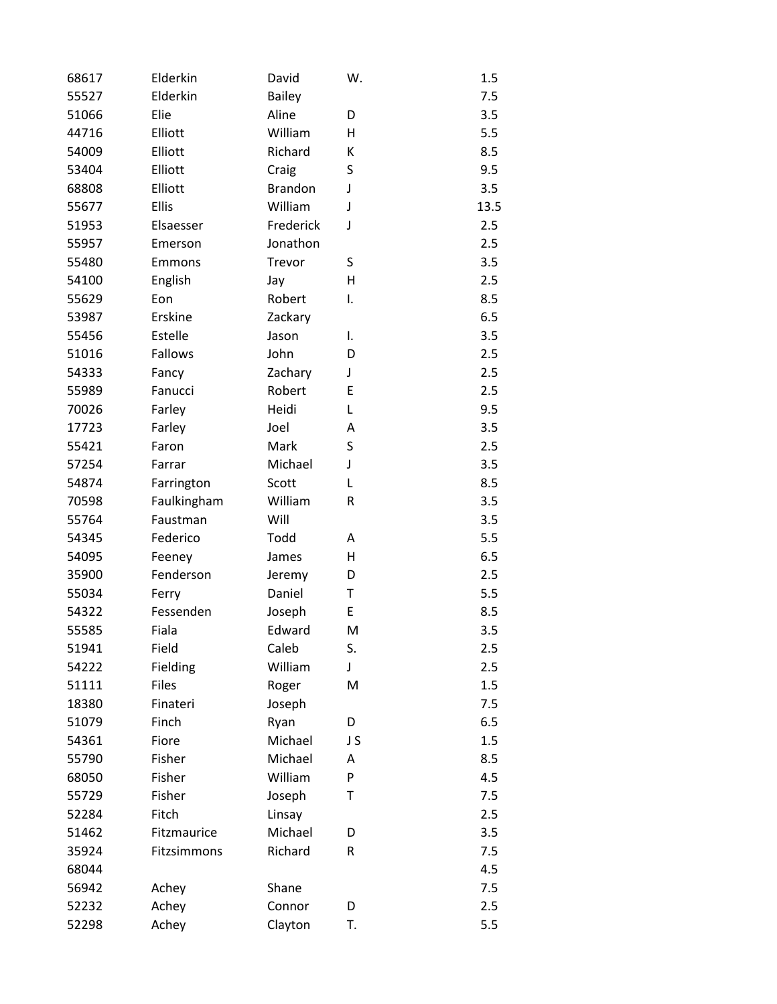| 68617 | Elderkin     | David          | W. | 1.5  |
|-------|--------------|----------------|----|------|
| 55527 | Elderkin     | <b>Bailey</b>  |    | 7.5  |
| 51066 | Elie         | Aline          | D  | 3.5  |
| 44716 | Elliott      | William        | н  | 5.5  |
| 54009 | Elliott      | Richard        | К  | 8.5  |
| 53404 | Elliott      | Craig          | S  | 9.5  |
| 68808 | Elliott      | <b>Brandon</b> | J  | 3.5  |
| 55677 | Ellis        | William        | J  | 13.5 |
| 51953 | Elsaesser    | Frederick      | J  | 2.5  |
| 55957 | Emerson      | Jonathon       |    | 2.5  |
| 55480 | Emmons       | Trevor         | S  | 3.5  |
| 54100 | English      | Jay            | н  | 2.5  |
| 55629 | Eon          | Robert         | I. | 8.5  |
| 53987 | Erskine      | Zackary        |    | 6.5  |
| 55456 | Estelle      | Jason          | I. | 3.5  |
| 51016 | Fallows      | John           | D  | 2.5  |
| 54333 | Fancy        | Zachary        | J  | 2.5  |
| 55989 | Fanucci      | Robert         | E  | 2.5  |
| 70026 | Farley       | Heidi          | L  | 9.5  |
| 17723 | Farley       | Joel           | Α  | 3.5  |
| 55421 | Faron        | Mark           | S  | 2.5  |
| 57254 | Farrar       | Michael        | J  | 3.5  |
| 54874 | Farrington   | Scott          | L  | 8.5  |
| 70598 | Faulkingham  | William        | R  | 3.5  |
| 55764 | Faustman     | Will           |    | 3.5  |
| 54345 | Federico     | Todd           | A  | 5.5  |
| 54095 | Feeney       | James          | H  | 6.5  |
| 35900 | Fenderson    | Jeremy         | D  | 2.5  |
| 55034 | Ferry        | Daniel         | T  | 5.5  |
| 54322 | Fessenden    | Joseph         | E  | 8.5  |
| 55585 | Fiala        | Edward         | M  | 3.5  |
| 51941 | Field        | Caleb          | S. | 2.5  |
| 54222 | Fielding     | William        | J  | 2.5  |
| 51111 | <b>Files</b> | Roger          | M  | 1.5  |
| 18380 | Finateri     | Joseph         |    | 7.5  |
| 51079 | Finch        | Ryan           | D  | 6.5  |
| 54361 | Fiore        | Michael        | JS | 1.5  |
| 55790 | Fisher       | Michael        | Α  | 8.5  |
| 68050 | Fisher       | William        | P  | 4.5  |
| 55729 | Fisher       | Joseph         | Τ  | 7.5  |
| 52284 | Fitch        | Linsay         |    | 2.5  |
| 51462 | Fitzmaurice  | Michael        | D  | 3.5  |
| 35924 | Fitzsimmons  | Richard        | R  | 7.5  |
| 68044 |              |                |    | 4.5  |
| 56942 | Achey        | Shane          |    | 7.5  |
| 52232 | Achey        | Connor         | D  | 2.5  |
| 52298 | Achey        | Clayton        | T. | 5.5  |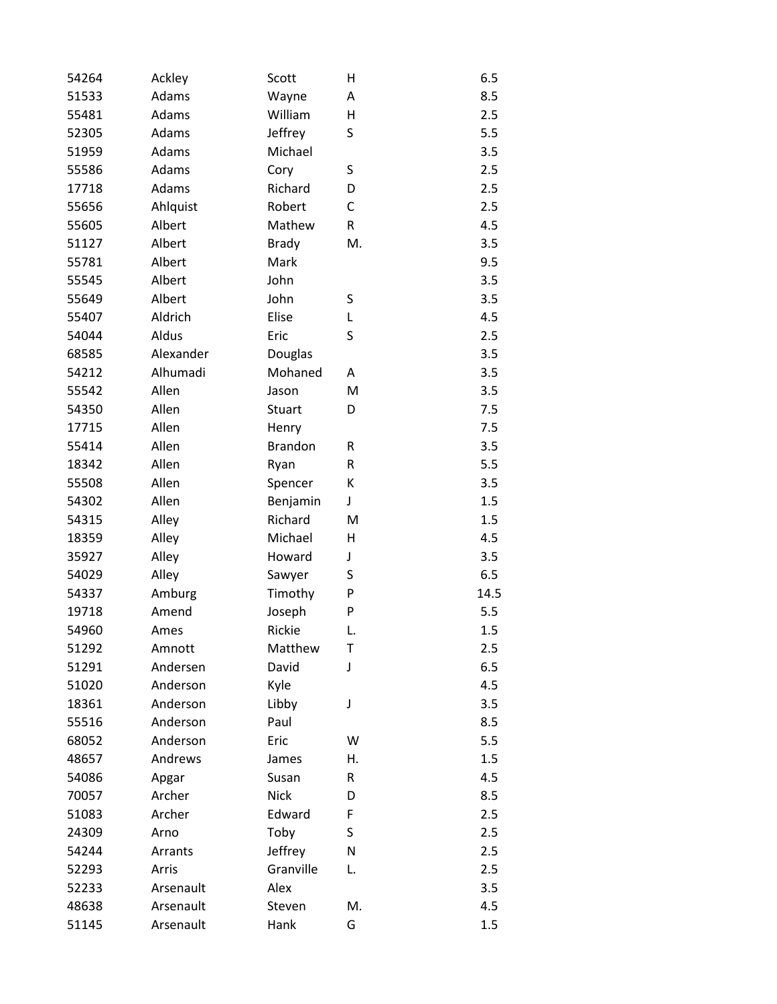| 54264 | Ackley    | Scott          | $\overline{H}$ | 6.5  |
|-------|-----------|----------------|----------------|------|
| 51533 | Adams     | Wayne          | Α              | 8.5  |
| 55481 | Adams     | William        | H              | 2.5  |
| 52305 | Adams     | Jeffrey        | S              | 5.5  |
| 51959 | Adams     | Michael        |                | 3.5  |
| 55586 | Adams     | Cory           | S              | 2.5  |
| 17718 | Adams     | Richard        | D              | 2.5  |
| 55656 | Ahlquist  | Robert         | C              | 2.5  |
| 55605 | Albert    | Mathew         | R              | 4.5  |
| 51127 | Albert    | <b>Brady</b>   | M.             | 3.5  |
| 55781 | Albert    | Mark           |                | 9.5  |
| 55545 | Albert    | John           |                | 3.5  |
| 55649 | Albert    | John           | S              | 3.5  |
| 55407 | Aldrich   | Elise          | L              | 4.5  |
| 54044 | Aldus     | Eric           | S              | 2.5  |
| 68585 | Alexander | Douglas        |                | 3.5  |
| 54212 | Alhumadi  | Mohaned        | A              | 3.5  |
| 55542 | Allen     | Jason          | M              | 3.5  |
| 54350 | Allen     | Stuart         | D              | 7.5  |
| 17715 | Allen     | Henry          |                | 7.5  |
| 55414 | Allen     | <b>Brandon</b> | R              | 3.5  |
| 18342 | Allen     | Ryan           | R              | 5.5  |
| 55508 | Allen     | Spencer        | К              | 3.5  |
| 54302 | Allen     | Benjamin       | J              | 1.5  |
| 54315 | Alley     | Richard        | M              | 1.5  |
| 18359 | Alley     | Michael        | Н              | 4.5  |
| 35927 | Alley     | Howard         | J              | 3.5  |
| 54029 | Alley     | Sawyer         | S              | 6.5  |
| 54337 | Amburg    | Timothy        | P              | 14.5 |
| 19718 | Amend     | Joseph         | P              | 5.5  |
| 54960 | Ames      | Rickie         | L.             | 1.5  |
| 51292 | Amnott    | Matthew        | Т              | 2.5  |
| 51291 | Andersen  | David          | J              | 6.5  |
| 51020 | Anderson  | Kyle           |                | 4.5  |
| 18361 | Anderson  | Libby          | J              | 3.5  |
| 55516 | Anderson  | Paul           |                | 8.5  |
| 68052 | Anderson  | Eric           | W              | 5.5  |
| 48657 | Andrews   | James          | Η.             | 1.5  |
| 54086 | Apgar     | Susan          | R              | 4.5  |
| 70057 | Archer    | <b>Nick</b>    | D              | 8.5  |
| 51083 | Archer    | Edward         | F              | 2.5  |
| 24309 | Arno      | Toby           | S              | 2.5  |
| 54244 | Arrants   | Jeffrey        | N              | 2.5  |
| 52293 | Arris     | Granville      | L.             | 2.5  |
| 52233 | Arsenault | Alex           |                | 3.5  |
| 48638 | Arsenault | Steven         | M.             | 4.5  |
| 51145 | Arsenault | Hank           | G              | 1.5  |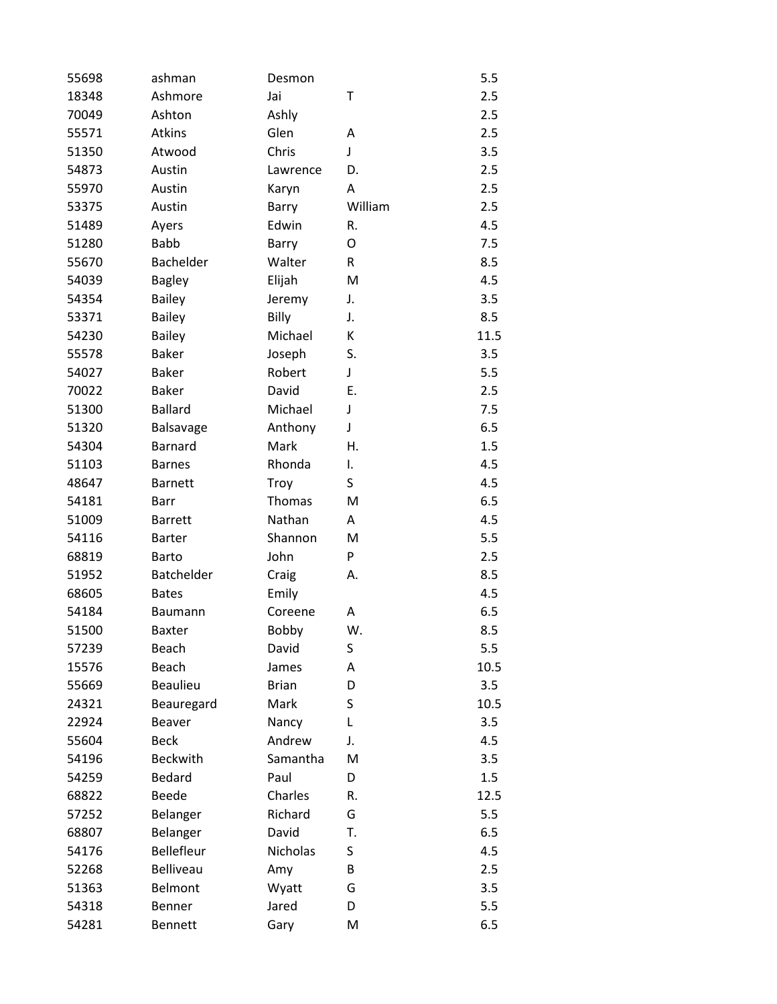| 55698 | ashman           | Desmon       |         | 5.5  |
|-------|------------------|--------------|---------|------|
| 18348 | Ashmore          | Jai          | Τ       | 2.5  |
| 70049 | Ashton           | Ashly        |         | 2.5  |
| 55571 | Atkins           | Glen         | Α       | 2.5  |
| 51350 | Atwood           | Chris        | J       | 3.5  |
| 54873 | Austin           | Lawrence     | D.      | 2.5  |
| 55970 | Austin           | Karyn        | Α       | 2.5  |
| 53375 | Austin           | Barry        | William | 2.5  |
| 51489 | Ayers            | Edwin        | R.      | 4.5  |
| 51280 | <b>Babb</b>      | Barry        | 0       | 7.5  |
| 55670 | Bachelder        | Walter       | R       | 8.5  |
| 54039 | <b>Bagley</b>    | Elijah       | M       | 4.5  |
| 54354 | <b>Bailey</b>    | Jeremy       | J.      | 3.5  |
| 53371 | <b>Bailey</b>    | Billy        | J.      | 8.5  |
| 54230 | <b>Bailey</b>    | Michael      | К       | 11.5 |
| 55578 | <b>Baker</b>     | Joseph       | S.      | 3.5  |
| 54027 | <b>Baker</b>     | Robert       | J       | 5.5  |
| 70022 | <b>Baker</b>     | David        | Ε.      | 2.5  |
| 51300 | <b>Ballard</b>   | Michael      | J       | 7.5  |
| 51320 | Balsavage        | Anthony      | J       | 6.5  |
| 54304 | <b>Barnard</b>   | Mark         | Η.      | 1.5  |
| 51103 | <b>Barnes</b>    | Rhonda       | I.      | 4.5  |
| 48647 | <b>Barnett</b>   | Troy         | S       | 4.5  |
| 54181 | Barr             | Thomas       | M       | 6.5  |
| 51009 | <b>Barrett</b>   | Nathan       | A       | 4.5  |
| 54116 | <b>Barter</b>    | Shannon      | M       | 5.5  |
| 68819 | <b>Barto</b>     | John         | P       | 2.5  |
| 51952 | Batchelder       | Craig        | А.      | 8.5  |
| 68605 | <b>Bates</b>     | Emily        |         | 4.5  |
| 54184 | <b>Baumann</b>   | Coreene      | A       | 6.5  |
| 51500 | <b>Baxter</b>    | Bobby        | W.      | 8.5  |
| 57239 | Beach            | David        | S       | 5.5  |
| 15576 | Beach            | James        | Α       | 10.5 |
| 55669 | <b>Beaulieu</b>  | <b>Brian</b> | D       | 3.5  |
| 24321 | Beauregard       | Mark         | S       | 10.5 |
| 22924 | Beaver           | Nancy        | L       | 3.5  |
| 55604 | <b>Beck</b>      | Andrew       | J.      | 4.5  |
| 54196 | <b>Beckwith</b>  | Samantha     | M       | 3.5  |
| 54259 | <b>Bedard</b>    | Paul         | D       | 1.5  |
| 68822 | <b>Beede</b>     | Charles      | R.      | 12.5 |
| 57252 | Belanger         | Richard      | G       | 5.5  |
| 68807 | Belanger         | David        | Т.      | 6.5  |
| 54176 | Bellefleur       | Nicholas     | S       | 4.5  |
| 52268 | <b>Belliveau</b> | Amy          | В       | 2.5  |
| 51363 | Belmont          | Wyatt        | G       | 3.5  |
| 54318 | Benner           | Jared        | D       | 5.5  |
| 54281 | <b>Bennett</b>   | Gary         | M       | 6.5  |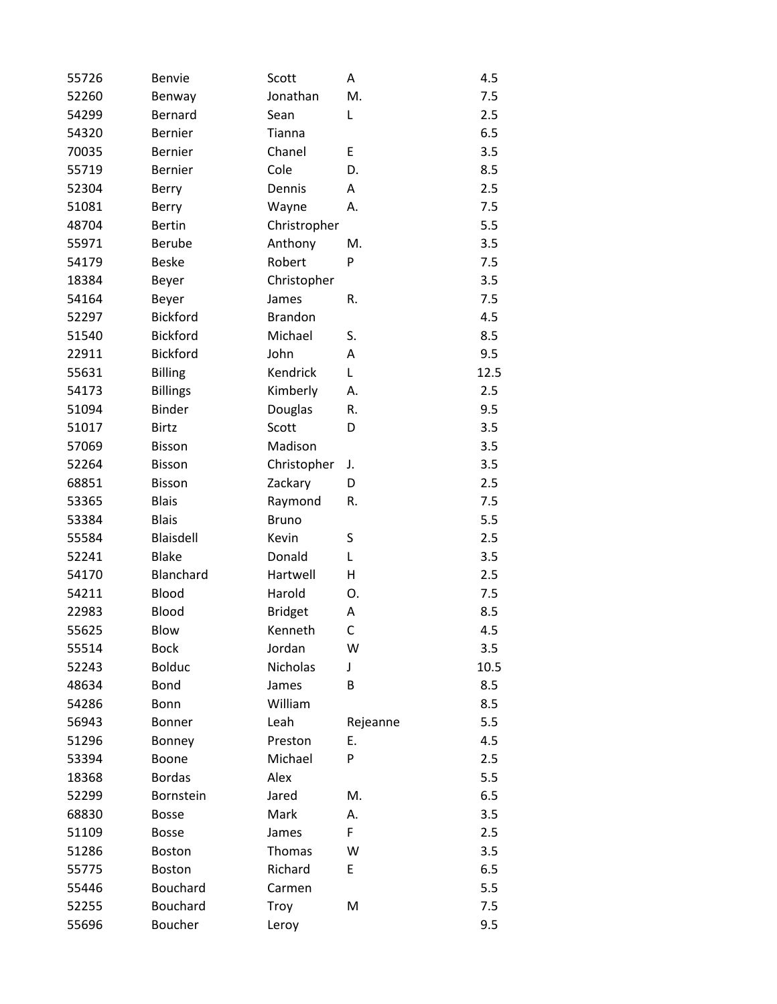| 55726 | <b>Benvie</b>    | Scott          | Α        | 4.5  |
|-------|------------------|----------------|----------|------|
| 52260 | Benway           | Jonathan       | M.       | 7.5  |
| 54299 | Bernard          | Sean           | L        | 2.5  |
| 54320 | <b>Bernier</b>   | Tianna         |          | 6.5  |
| 70035 | <b>Bernier</b>   | Chanel         | E        | 3.5  |
| 55719 | <b>Bernier</b>   | Cole           | D.       | 8.5  |
| 52304 | Berry            | Dennis         | A        | 2.5  |
| 51081 | Berry            | Wayne          | А.       | 7.5  |
| 48704 | <b>Bertin</b>    | Christropher   |          | 5.5  |
| 55971 | <b>Berube</b>    | Anthony        | M.       | 3.5  |
| 54179 | <b>Beske</b>     | Robert         | P        | 7.5  |
| 18384 | Beyer            | Christopher    |          | 3.5  |
| 54164 | Beyer            | James          | R.       | 7.5  |
| 52297 | <b>Bickford</b>  | <b>Brandon</b> |          | 4.5  |
| 51540 | <b>Bickford</b>  | Michael        | S.       | 8.5  |
| 22911 | <b>Bickford</b>  | John           | A        | 9.5  |
| 55631 | <b>Billing</b>   | Kendrick       | L        | 12.5 |
| 54173 | <b>Billings</b>  | Kimberly       | А.       | 2.5  |
| 51094 | <b>Binder</b>    | Douglas        | R.       | 9.5  |
| 51017 | <b>Birtz</b>     | Scott          | D        | 3.5  |
| 57069 | <b>Bisson</b>    | Madison        |          | 3.5  |
| 52264 | Bisson           | Christopher    | J.       | 3.5  |
| 68851 | <b>Bisson</b>    | Zackary        | D        | 2.5  |
| 53365 | <b>Blais</b>     | Raymond        | R.       | 7.5  |
| 53384 | <b>Blais</b>     | <b>Bruno</b>   |          | 5.5  |
| 55584 | <b>Blaisdell</b> | Kevin          | S        | 2.5  |
| 52241 | <b>Blake</b>     | Donald         | L        | 3.5  |
| 54170 | Blanchard        | Hartwell       | Η        | 2.5  |
| 54211 | Blood            | Harold         | 0.       | 7.5  |
| 22983 | Blood            | <b>Bridget</b> | Α        | 8.5  |
| 55625 | Blow             | Kenneth        | C        | 4.5  |
| 55514 | <b>Bock</b>      | Jordan         | W        | 3.5  |
| 52243 | <b>Bolduc</b>    | Nicholas       | J        | 10.5 |
| 48634 | Bond             | James          | В        | 8.5  |
| 54286 | Bonn             | William        |          | 8.5  |
| 56943 | <b>Bonner</b>    | Leah           | Rejeanne | 5.5  |
| 51296 | Bonney           | Preston        | Ε.       | 4.5  |
| 53394 | Boone            | Michael        | P        | 2.5  |
| 18368 | <b>Bordas</b>    | Alex           |          | 5.5  |
| 52299 | Bornstein        | Jared          | M.       | 6.5  |
| 68830 | <b>Bosse</b>     | Mark           | А.       | 3.5  |
| 51109 | <b>Bosse</b>     | James          | F        | 2.5  |
| 51286 | <b>Boston</b>    | Thomas         | W        | 3.5  |
| 55775 | <b>Boston</b>    | Richard        | E        | 6.5  |
| 55446 | Bouchard         | Carmen         |          | 5.5  |
| 52255 | Bouchard         | Troy           | M        | 7.5  |
| 55696 | Boucher          | Leroy          |          | 9.5  |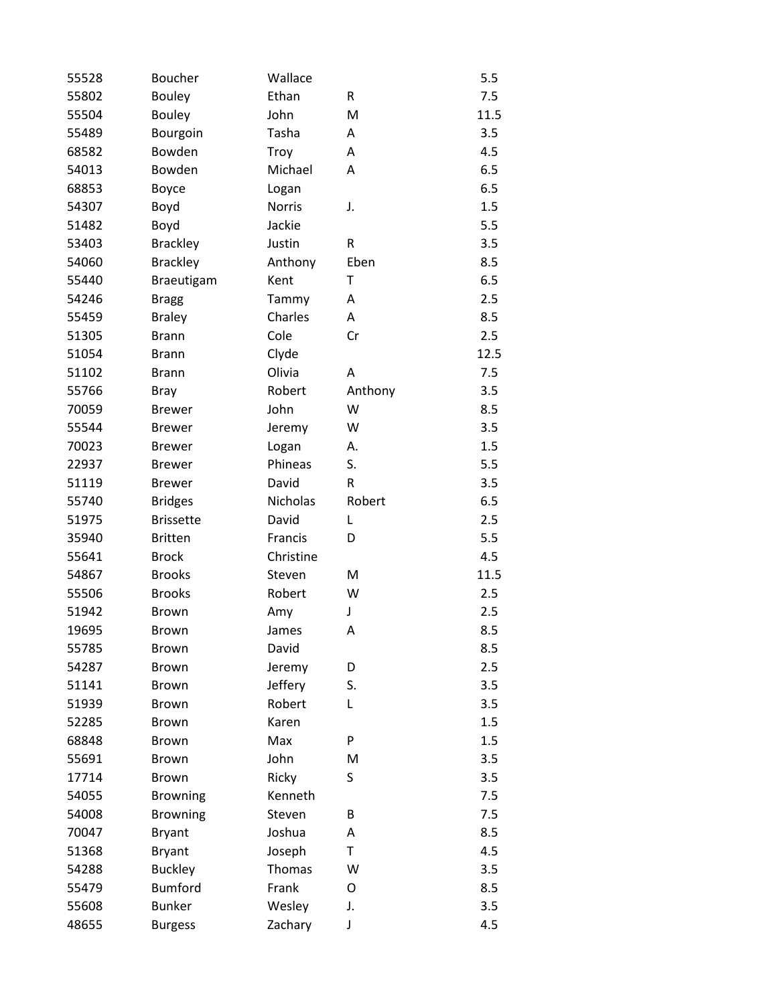| 55528 | <b>Boucher</b>   | Wallace       |         | 5.5  |
|-------|------------------|---------------|---------|------|
| 55802 | <b>Bouley</b>    | Ethan         | R       | 7.5  |
| 55504 | <b>Bouley</b>    | John          | M       | 11.5 |
| 55489 | Bourgoin         | Tasha         | Α       | 3.5  |
| 68582 | Bowden           | Troy          | Α       | 4.5  |
| 54013 | Bowden           | Michael       | Α       | 6.5  |
| 68853 | Boyce            | Logan         |         | 6.5  |
| 54307 | Boyd             | <b>Norris</b> | J.      | 1.5  |
| 51482 | Boyd             | Jackie        |         | 5.5  |
| 53403 | <b>Brackley</b>  | Justin        | R       | 3.5  |
| 54060 | <b>Brackley</b>  | Anthony       | Eben    | 8.5  |
| 55440 | Braeutigam       | Kent          | T       | 6.5  |
| 54246 | <b>Bragg</b>     | Tammy         | A       | 2.5  |
| 55459 | <b>Braley</b>    | Charles       | Α       | 8.5  |
| 51305 | <b>Brann</b>     | Cole          | Cr      | 2.5  |
| 51054 | <b>Brann</b>     | Clyde         |         | 12.5 |
| 51102 | <b>Brann</b>     | Olivia        | Α       | 7.5  |
| 55766 | <b>Bray</b>      | Robert        | Anthony | 3.5  |
| 70059 | <b>Brewer</b>    | John          | W       | 8.5  |
| 55544 | <b>Brewer</b>    | Jeremy        | W       | 3.5  |
| 70023 | <b>Brewer</b>    | Logan         | А.      | 1.5  |
| 22937 | <b>Brewer</b>    | Phineas       | S.      | 5.5  |
| 51119 | <b>Brewer</b>    | David         | R       | 3.5  |
| 55740 | <b>Bridges</b>   | Nicholas      | Robert  | 6.5  |
| 51975 | <b>Brissette</b> | David         | L       | 2.5  |
| 35940 | <b>Britten</b>   | Francis       | D       | 5.5  |
| 55641 | <b>Brock</b>     | Christine     |         | 4.5  |
| 54867 | <b>Brooks</b>    | Steven        | M       | 11.5 |
| 55506 | <b>Brooks</b>    | Robert        | W       | 2.5  |
| 51942 | <b>Brown</b>     | Amy           | J       | 2.5  |
| 19695 | <b>Brown</b>     | James         | Α       | 8.5  |
| 55785 | <b>Brown</b>     | David         |         | 8.5  |
| 54287 | <b>Brown</b>     | Jeremy        | D       | 2.5  |
| 51141 | <b>Brown</b>     | Jeffery       | S.      | 3.5  |
| 51939 | <b>Brown</b>     | Robert        | L       | 3.5  |
| 52285 | <b>Brown</b>     | Karen         |         | 1.5  |
| 68848 | <b>Brown</b>     | Max           | P       | 1.5  |
| 55691 | <b>Brown</b>     | John          | M       | 3.5  |
| 17714 | <b>Brown</b>     | Ricky         | S       | 3.5  |
| 54055 | <b>Browning</b>  | Kenneth       |         | 7.5  |
| 54008 | <b>Browning</b>  | Steven        | В       | 7.5  |
| 70047 | <b>Bryant</b>    | Joshua        | Α       | 8.5  |
| 51368 | <b>Bryant</b>    | Joseph        | T       | 4.5  |
| 54288 | <b>Buckley</b>   | Thomas        | W       | 3.5  |
| 55479 | <b>Bumford</b>   | Frank         | 0       | 8.5  |
| 55608 | <b>Bunker</b>    | Wesley        | J.      | 3.5  |
| 48655 | <b>Burgess</b>   | Zachary       | J       | 4.5  |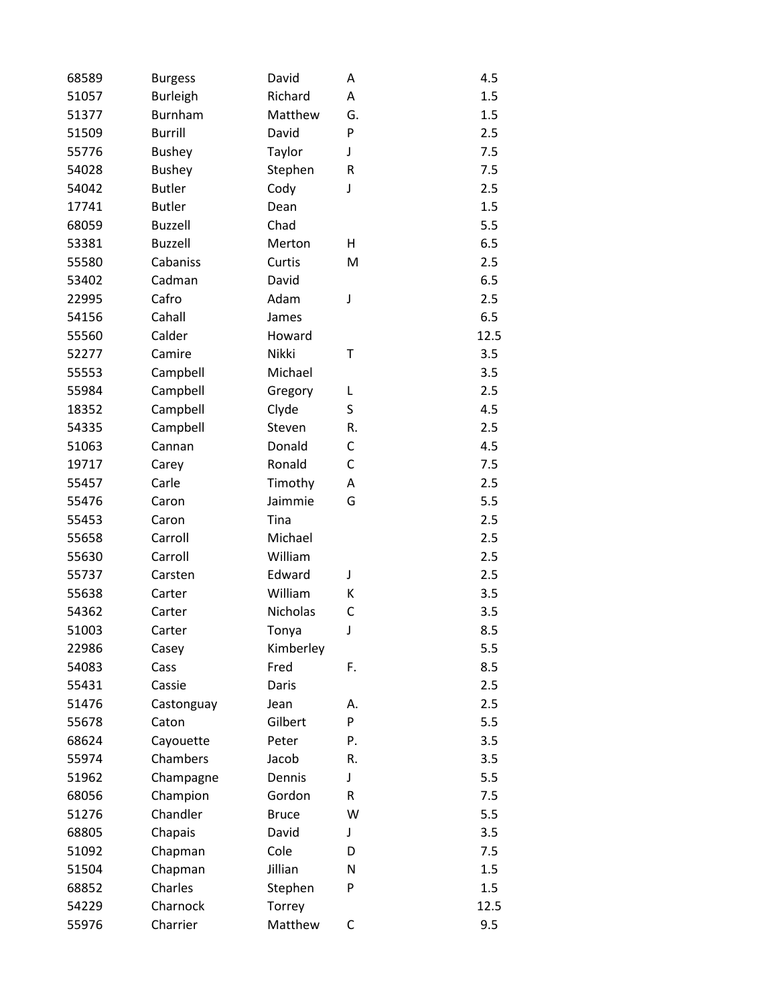| 68589 | <b>Burgess</b>  | David        | A       | 4.5  |
|-------|-----------------|--------------|---------|------|
| 51057 | <b>Burleigh</b> | Richard      | Α       | 1.5  |
| 51377 | Burnham         | Matthew      | G.      | 1.5  |
| 51509 | <b>Burrill</b>  | David        | P       | 2.5  |
| 55776 | <b>Bushey</b>   | Taylor       | J       | 7.5  |
| 54028 | <b>Bushey</b>   | Stephen      | $\sf R$ | 7.5  |
| 54042 | <b>Butler</b>   | Cody         | J       | 2.5  |
| 17741 | <b>Butler</b>   | Dean         |         | 1.5  |
| 68059 | <b>Buzzell</b>  | Chad         |         | 5.5  |
| 53381 | <b>Buzzell</b>  | Merton       | H       | 6.5  |
| 55580 | Cabaniss        | Curtis       | M       | 2.5  |
| 53402 | Cadman          | David        |         | 6.5  |
| 22995 | Cafro           | Adam         | J       | 2.5  |
| 54156 | Cahall          | James        |         | 6.5  |
| 55560 | Calder          | Howard       |         | 12.5 |
| 52277 | Camire          | Nikki        | Τ       | 3.5  |
| 55553 | Campbell        | Michael      |         | 3.5  |
| 55984 | Campbell        | Gregory      | L       | 2.5  |
| 18352 | Campbell        | Clyde        | S       | 4.5  |
| 54335 | Campbell        | Steven       | R.      | 2.5  |
| 51063 | Cannan          | Donald       | С       | 4.5  |
| 19717 | Carey           | Ronald       | C       | 7.5  |
| 55457 | Carle           | Timothy      | Α       | 2.5  |
| 55476 | Caron           | Jaimmie      | G       | 5.5  |
| 55453 | Caron           | Tina         |         | 2.5  |
| 55658 | Carroll         | Michael      |         | 2.5  |
| 55630 | Carroll         | William      |         | 2.5  |
| 55737 | Carsten         | Edward       | J       | 2.5  |
| 55638 | Carter          | William      | К       | 3.5  |
| 54362 | Carter          | Nicholas     | C       | 3.5  |
| 51003 | Carter          | Tonya        | J       | 8.5  |
| 22986 | Casey           | Kimberley    |         | 5.5  |
| 54083 | Cass            | Fred         | F.      | 8.5  |
| 55431 | Cassie          | Daris        |         | 2.5  |
| 51476 | Castonguay      | Jean         | А.      | 2.5  |
| 55678 | Caton           | Gilbert      | P       | 5.5  |
| 68624 | Cayouette       | Peter        | Ρ.      | 3.5  |
| 55974 | Chambers        | Jacob        | R.      | 3.5  |
| 51962 | Champagne       | Dennis       | J       | 5.5  |
| 68056 | Champion        | Gordon       | R       | 7.5  |
| 51276 | Chandler        | <b>Bruce</b> | W       | 5.5  |
| 68805 | Chapais         | David        | J       | 3.5  |
| 51092 | Chapman         | Cole         | D       | 7.5  |
| 51504 | Chapman         | Jillian      | N       | 1.5  |
| 68852 | Charles         | Stephen      | P       | 1.5  |
| 54229 | Charnock        | Torrey       |         | 12.5 |
| 55976 | Charrier        | Matthew      | C       | 9.5  |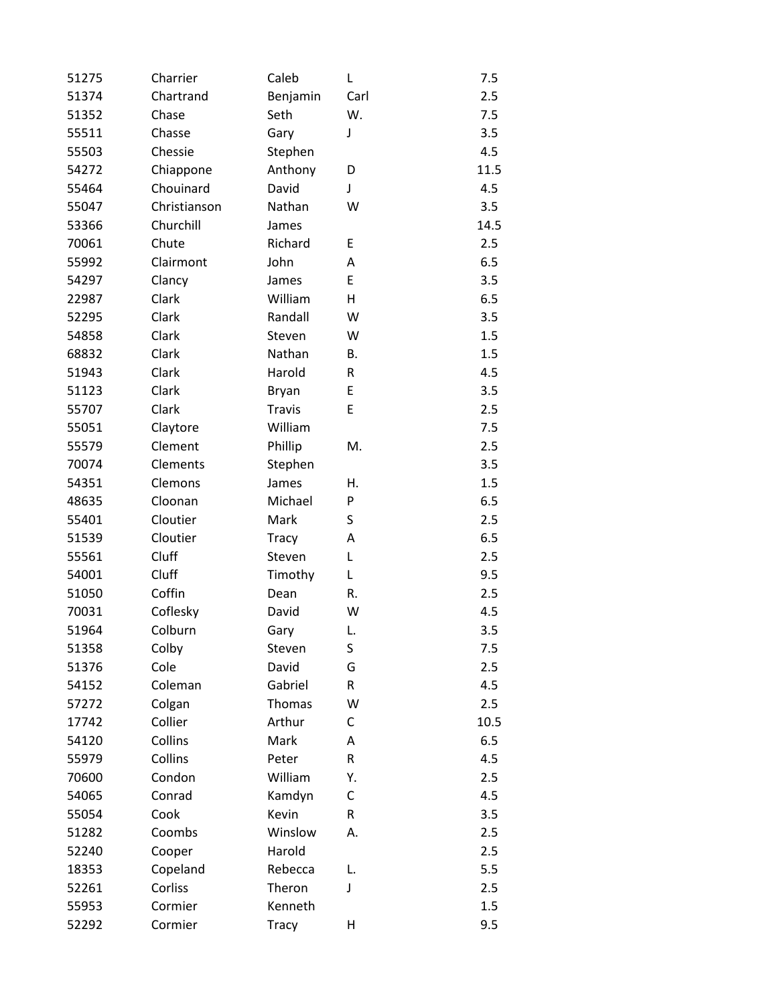| 51275 | Charrier     | Caleb        | L    | 7.5  |
|-------|--------------|--------------|------|------|
| 51374 | Chartrand    | Benjamin     | Carl | 2.5  |
| 51352 | Chase        | Seth         | W.   | 7.5  |
| 55511 | Chasse       | Gary         | J    | 3.5  |
| 55503 | Chessie      | Stephen      |      | 4.5  |
| 54272 | Chiappone    | Anthony      | D    | 11.5 |
| 55464 | Chouinard    | David        | J    | 4.5  |
| 55047 | Christianson | Nathan       | W    | 3.5  |
| 53366 | Churchill    | James        |      | 14.5 |
| 70061 | Chute        | Richard      | E    | 2.5  |
| 55992 | Clairmont    | John         | Α    | 6.5  |
| 54297 | Clancy       | James        | E    | 3.5  |
| 22987 | Clark        | William      | н    | 6.5  |
| 52295 | Clark        | Randall      | W    | 3.5  |
| 54858 | Clark        | Steven       | W    | 1.5  |
| 68832 | Clark        | Nathan       | В.   | 1.5  |
| 51943 | Clark        | Harold       | R    | 4.5  |
| 51123 | Clark        | Bryan        | E    | 3.5  |
| 55707 | Clark        | Travis       | E    | 2.5  |
| 55051 | Claytore     | William      |      | 7.5  |
| 55579 | Clement      | Phillip      | M.   | 2.5  |
| 70074 | Clements     | Stephen      |      | 3.5  |
| 54351 | Clemons      | James        | Η.   | 1.5  |
| 48635 | Cloonan      | Michael      | P    | 6.5  |
| 55401 | Cloutier     | Mark         | S    | 2.5  |
| 51539 | Cloutier     | <b>Tracy</b> | Α    | 6.5  |
| 55561 | Cluff        | Steven       | L    | 2.5  |
| 54001 | Cluff        | Timothy      | L    | 9.5  |
| 51050 | Coffin       | Dean         | R.   | 2.5  |
| 70031 | Coflesky     | David        | W    | 4.5  |
| 51964 | Colburn      | Gary         | L.   | 3.5  |
| 51358 | Colby        | Steven       | S    | 7.5  |
| 51376 | Cole         | David        | G    | 2.5  |
| 54152 | Coleman      | Gabriel      | R    | 4.5  |
| 57272 | Colgan       | Thomas       | W    | 2.5  |
| 17742 | Collier      | Arthur       | C    | 10.5 |
| 54120 | Collins      | Mark         | A    | 6.5  |
| 55979 | Collins      | Peter        | R    | 4.5  |
| 70600 | Condon       | William      | Υ.   | 2.5  |
| 54065 | Conrad       | Kamdyn       | C    | 4.5  |
| 55054 | Cook         | Kevin        | R    | 3.5  |
| 51282 | Coombs       | Winslow      | А.   | 2.5  |
| 52240 | Cooper       | Harold       |      | 2.5  |
| 18353 | Copeland     | Rebecca      | L.   | 5.5  |
| 52261 | Corliss      | Theron       | J    | 2.5  |
| 55953 | Cormier      | Kenneth      |      | 1.5  |
| 52292 | Cormier      | <b>Tracy</b> | Н    | 9.5  |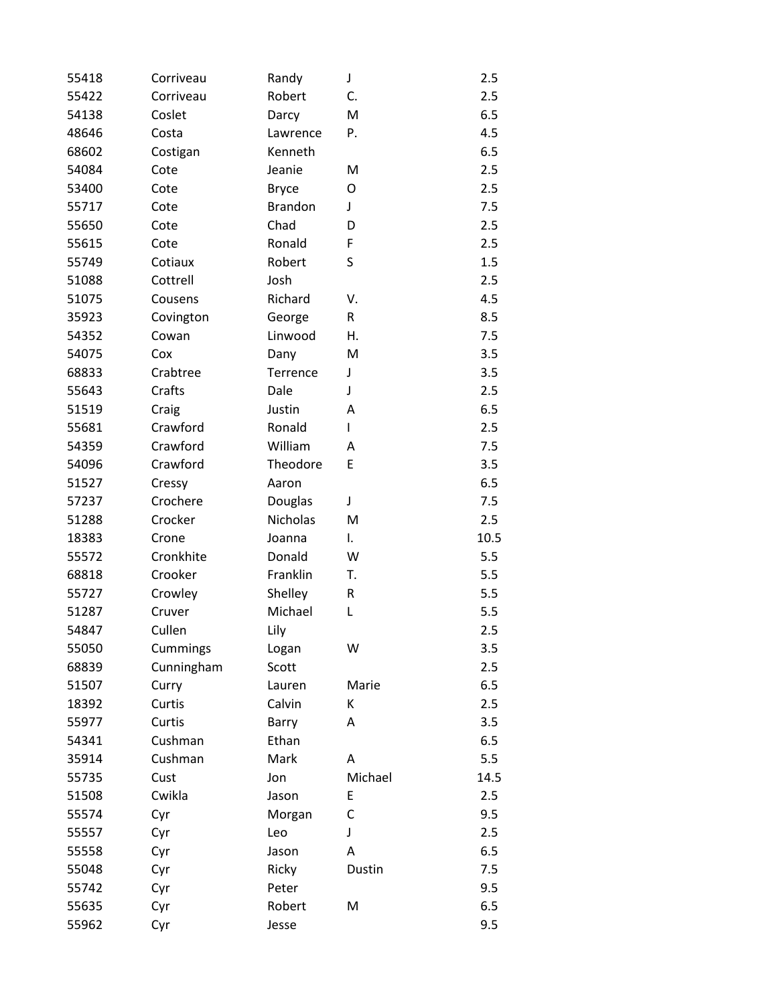| 55418 | Corriveau  | Randy          | J       | 2.5  |
|-------|------------|----------------|---------|------|
| 55422 | Corriveau  | Robert         | C.      | 2.5  |
| 54138 | Coslet     | Darcy          | M       | 6.5  |
| 48646 | Costa      | Lawrence       | P.      | 4.5  |
| 68602 | Costigan   | Kenneth        |         | 6.5  |
| 54084 | Cote       | Jeanie         | M       | 2.5  |
| 53400 | Cote       | <b>Bryce</b>   | O       | 2.5  |
| 55717 | Cote       | <b>Brandon</b> | J       | 7.5  |
| 55650 | Cote       | Chad           | D       | 2.5  |
| 55615 | Cote       | Ronald         | F       | 2.5  |
| 55749 | Cotiaux    | Robert         | S       | 1.5  |
| 51088 | Cottrell   | Josh           |         | 2.5  |
| 51075 | Cousens    | Richard        | V.      | 4.5  |
| 35923 | Covington  | George         | R       | 8.5  |
| 54352 | Cowan      | Linwood        | Η.      | 7.5  |
| 54075 | Cox        | Dany           | M       | 3.5  |
| 68833 | Crabtree   | Terrence       | J       | 3.5  |
| 55643 | Crafts     | Dale           | J       | 2.5  |
| 51519 | Craig      | Justin         | Α       | 6.5  |
| 55681 | Crawford   | Ronald         | L       | 2.5  |
| 54359 | Crawford   | William        | A       | 7.5  |
| 54096 | Crawford   | Theodore       | E       | 3.5  |
| 51527 | Cressy     | Aaron          |         | 6.5  |
| 57237 | Crochere   | Douglas        | J       | 7.5  |
| 51288 | Crocker    | Nicholas       | M       | 2.5  |
| 18383 | Crone      | Joanna         | I.      | 10.5 |
| 55572 | Cronkhite  | Donald         | W       | 5.5  |
| 68818 | Crooker    | Franklin       | T.      | 5.5  |
| 55727 | Crowley    | Shelley        | R       | 5.5  |
| 51287 | Cruver     | Michael        | L       | 5.5  |
| 54847 | Cullen     | Lily           |         | 2.5  |
| 55050 | Cummings   | Logan          | W       | 3.5  |
| 68839 | Cunningham | Scott          |         | 2.5  |
| 51507 | Curry      | Lauren         | Marie   | 6.5  |
| 18392 | Curtis     | Calvin         | К       | 2.5  |
| 55977 | Curtis     | Barry          | Α       | 3.5  |
| 54341 | Cushman    | Ethan          |         | 6.5  |
| 35914 | Cushman    | Mark           | Α       | 5.5  |
| 55735 | Cust       | Jon            | Michael | 14.5 |
| 51508 | Cwikla     | Jason          | E       | 2.5  |
| 55574 | Cyr        | Morgan         | C       | 9.5  |
| 55557 | Cyr        | Leo            | J       | 2.5  |
| 55558 | Cyr        | Jason          | Α       | 6.5  |
| 55048 | Cyr        | Ricky          | Dustin  | 7.5  |
| 55742 | Cyr        | Peter          |         | 9.5  |
| 55635 | Cyr        | Robert         | M       | 6.5  |
| 55962 | Cyr        | Jesse          |         | 9.5  |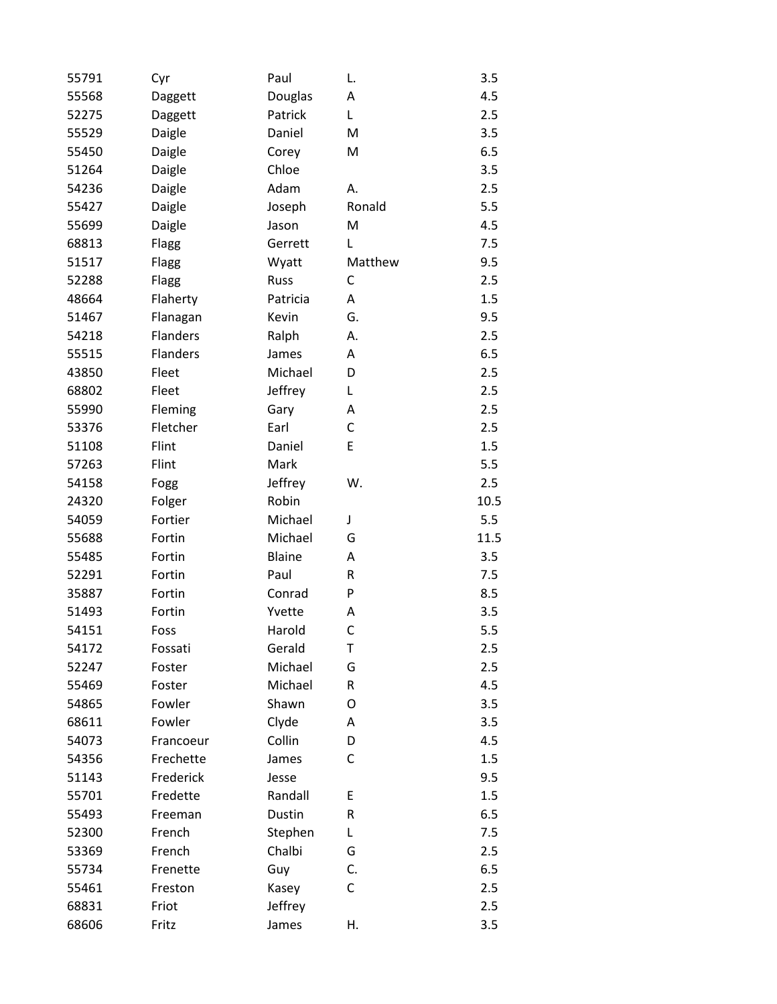| 55791 | Cyr             | Paul          | L.      | 3.5  |
|-------|-----------------|---------------|---------|------|
| 55568 | Daggett         | Douglas       | Α       | 4.5  |
| 52275 | Daggett         | Patrick       | L       | 2.5  |
| 55529 | Daigle          | Daniel        | M       | 3.5  |
| 55450 | Daigle          | Corey         | M       | 6.5  |
| 51264 | Daigle          | Chloe         |         | 3.5  |
| 54236 | Daigle          | Adam          | А.      | 2.5  |
| 55427 | Daigle          | Joseph        | Ronald  | 5.5  |
| 55699 | Daigle          | Jason         | M       | 4.5  |
| 68813 | Flagg           | Gerrett       | Г       | 7.5  |
| 51517 | Flagg           | Wyatt         | Matthew | 9.5  |
| 52288 | Flagg           | Russ          | C       | 2.5  |
| 48664 | Flaherty        | Patricia      | Α       | 1.5  |
| 51467 | Flanagan        | Kevin         | G.      | 9.5  |
| 54218 | <b>Flanders</b> | Ralph         | А.      | 2.5  |
| 55515 | <b>Flanders</b> | James         | А       | 6.5  |
| 43850 | Fleet           | Michael       | D       | 2.5  |
| 68802 | Fleet           | Jeffrey       | L       | 2.5  |
| 55990 | Fleming         | Gary          | Α       | 2.5  |
| 53376 | Fletcher        | Earl          | C       | 2.5  |
| 51108 | Flint           | Daniel        | E       | 1.5  |
| 57263 | Flint           | Mark          |         | 5.5  |
| 54158 | Fogg            | Jeffrey       | W.      | 2.5  |
| 24320 | Folger          | Robin         |         | 10.5 |
| 54059 | Fortier         | Michael       | J       | 5.5  |
| 55688 | Fortin          | Michael       | G       | 11.5 |
| 55485 | Fortin          | <b>Blaine</b> | Α       | 3.5  |
| 52291 | Fortin          | Paul          | R       | 7.5  |
| 35887 | Fortin          | Conrad        | P       | 8.5  |
| 51493 | Fortin          | Yvette        | Α       | 3.5  |
| 54151 | Foss            | Harold        | C       | 5.5  |
| 54172 | Fossati         | Gerald        | Т       | 2.5  |
| 52247 | Foster          | Michael       | G       | 2.5  |
| 55469 | Foster          | Michael       | R       | 4.5  |
| 54865 | Fowler          | Shawn         | O       | 3.5  |
| 68611 | Fowler          | Clyde         | Α       | 3.5  |
| 54073 | Francoeur       | Collin        | D       | 4.5  |
| 54356 | Frechette       | James         | С       | 1.5  |
| 51143 | Frederick       | Jesse         |         | 9.5  |
| 55701 | Fredette        | Randall       | E       | 1.5  |
| 55493 | Freeman         | Dustin        | R       | 6.5  |
| 52300 | French          | Stephen       | L       | 7.5  |
| 53369 | French          | Chalbi        | G       | 2.5  |
| 55734 | Frenette        | Guy           | C.      | 6.5  |
| 55461 | Freston         | Kasey         | С       | 2.5  |
| 68831 | Friot           | Jeffrey       |         | 2.5  |
| 68606 | Fritz           | James         | Н.      | 3.5  |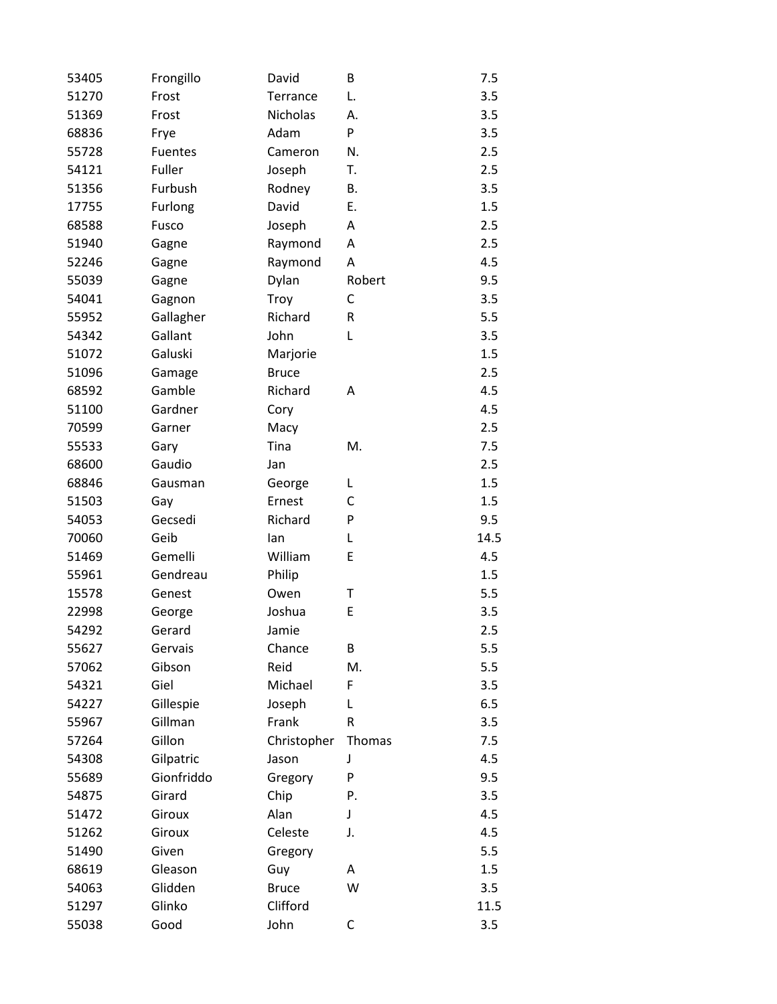| 53405 | Frongillo      | David        | B         | 7.5  |
|-------|----------------|--------------|-----------|------|
| 51270 | Frost          | Terrance     | L.        | 3.5  |
| 51369 | Frost          | Nicholas     | А.        | 3.5  |
| 68836 | Frye           | Adam         | P         | 3.5  |
| 55728 | <b>Fuentes</b> | Cameron      | N.        | 2.5  |
| 54121 | Fuller         | Joseph       | Т.        | 2.5  |
| 51356 | Furbush        | Rodney       | В.        | 3.5  |
| 17755 | Furlong        | David        | Е.        | 1.5  |
| 68588 | Fusco          | Joseph       | Α         | 2.5  |
| 51940 | Gagne          | Raymond      | Α         | 2.5  |
| 52246 | Gagne          | Raymond      | Α         | 4.5  |
| 55039 | Gagne          | Dylan        | Robert    | 9.5  |
| 54041 | Gagnon         | Troy         | С         | 3.5  |
| 55952 | Gallagher      | Richard      | ${\sf R}$ | 5.5  |
| 54342 | Gallant        | John         | L         | 3.5  |
| 51072 | Galuski        | Marjorie     |           | 1.5  |
| 51096 | Gamage         | <b>Bruce</b> |           | 2.5  |
| 68592 | Gamble         | Richard      | Α         | 4.5  |
| 51100 | Gardner        | Cory         |           | 4.5  |
| 70599 | Garner         | Macy         |           | 2.5  |
| 55533 | Gary           | Tina         | M.        | 7.5  |
| 68600 | Gaudio         | Jan          |           | 2.5  |
| 68846 | Gausman        | George       | L         | 1.5  |
| 51503 | Gay            | Ernest       | C         | 1.5  |
| 54053 | Gecsedi        | Richard      | P         | 9.5  |
| 70060 | Geib           | lan          | L         | 14.5 |
| 51469 | Gemelli        | William      | E         | 4.5  |
| 55961 | Gendreau       | Philip       |           | 1.5  |
| 15578 | Genest         | Owen         | Τ         | 5.5  |
| 22998 | George         | Joshua       | E         | 3.5  |
| 54292 | Gerard         | Jamie        |           | 2.5  |
| 55627 | Gervais        | Chance       | B         | 5.5  |
| 57062 | Gibson         | Reid         | M.        | 5.5  |
| 54321 | Giel           | Michael      | F         | 3.5  |
| 54227 | Gillespie      | Joseph       | L         | 6.5  |
| 55967 | Gillman        | Frank        | R         | 3.5  |
| 57264 | Gillon         | Christopher  | Thomas    | 7.5  |
| 54308 | Gilpatric      | Jason        | J         | 4.5  |
| 55689 | Gionfriddo     | Gregory      | P         | 9.5  |
| 54875 | Girard         | Chip         | Ρ.        | 3.5  |
| 51472 | Giroux         | Alan         | J         | 4.5  |
| 51262 | Giroux         | Celeste      | J.        | 4.5  |
| 51490 | Given          | Gregory      |           | 5.5  |
| 68619 | Gleason        | Guy          | Α         | 1.5  |
| 54063 | Glidden        | <b>Bruce</b> | W         | 3.5  |
| 51297 | Glinko         | Clifford     |           | 11.5 |
| 55038 | Good           | John         | С         | 3.5  |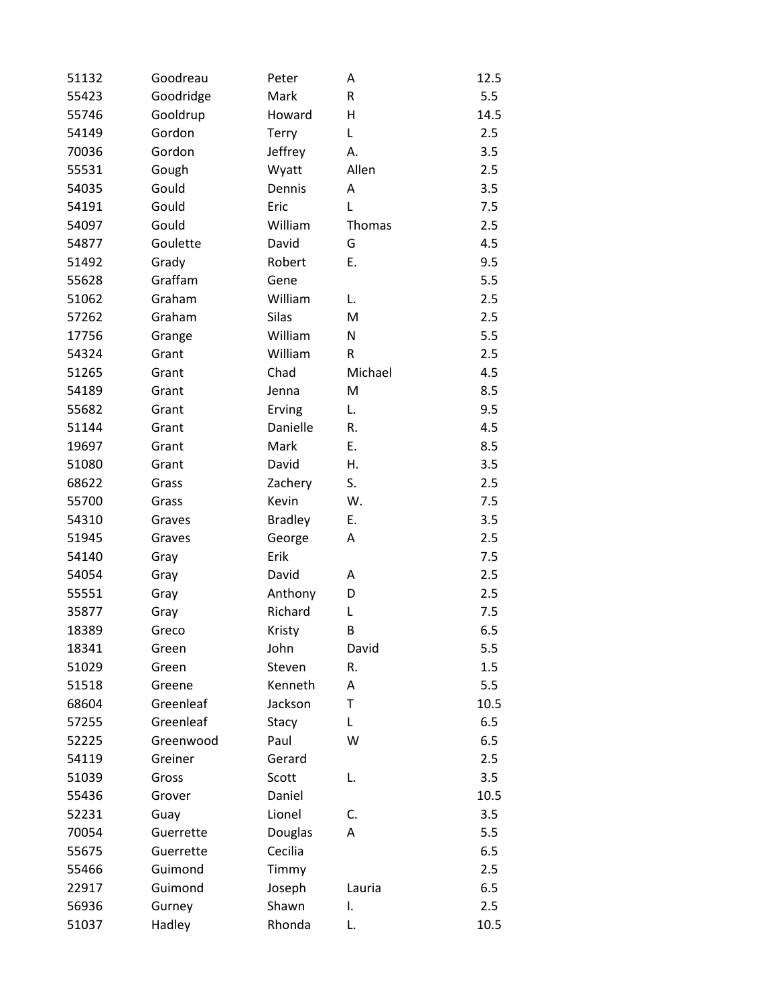| 51132 | Goodreau  | Peter          | A       | 12.5 |
|-------|-----------|----------------|---------|------|
| 55423 | Goodridge | Mark           | R       | 5.5  |
| 55746 | Gooldrup  | Howard         | H       | 14.5 |
| 54149 | Gordon    | Terry          | L       | 2.5  |
| 70036 | Gordon    | Jeffrey        | А.      | 3.5  |
| 55531 | Gough     | Wyatt          | Allen   | 2.5  |
| 54035 | Gould     | Dennis         | Α       | 3.5  |
| 54191 | Gould     | Eric           | L       | 7.5  |
| 54097 | Gould     | William        | Thomas  | 2.5  |
| 54877 | Goulette  | David          | G       | 4.5  |
| 51492 | Grady     | Robert         | Ε.      | 9.5  |
| 55628 | Graffam   | Gene           |         | 5.5  |
| 51062 | Graham    | William        | L.      | 2.5  |
| 57262 | Graham    | <b>Silas</b>   | M       | 2.5  |
| 17756 | Grange    | William        | N       | 5.5  |
| 54324 | Grant     | William        | R       | 2.5  |
| 51265 | Grant     | Chad           | Michael | 4.5  |
| 54189 | Grant     | Jenna          | M       | 8.5  |
| 55682 | Grant     | Erving         | L.      | 9.5  |
| 51144 | Grant     | Danielle       | R.      | 4.5  |
| 19697 | Grant     | Mark           | Ε.      | 8.5  |
| 51080 | Grant     | David          | Η.      | 3.5  |
| 68622 | Grass     | Zachery        | S.      | 2.5  |
| 55700 | Grass     | Kevin          | W.      | 7.5  |
| 54310 | Graves    | <b>Bradley</b> | Ε.      | 3.5  |
| 51945 | Graves    | George         | Α       | 2.5  |
| 54140 | Gray      | Erik           |         | 7.5  |
| 54054 | Gray      | David          | Α       | 2.5  |
| 55551 | Gray      | Anthony        | D       | 2.5  |
| 35877 | Gray      | Richard        | L       | 7.5  |
| 18389 | Greco     | Kristy         | B       | 6.5  |
| 18341 | Green     | John           | David   | 5.5  |
| 51029 | Green     | Steven         | R.      | 1.5  |
| 51518 | Greene    | Kenneth        | Α       | 5.5  |
| 68604 | Greenleaf | Jackson        | Τ       | 10.5 |
| 57255 | Greenleaf | Stacy          | Г       | 6.5  |
| 52225 | Greenwood | Paul           | W       | 6.5  |
| 54119 | Greiner   | Gerard         |         | 2.5  |
| 51039 | Gross     | Scott          | L.      | 3.5  |
| 55436 | Grover    | Daniel         |         | 10.5 |
| 52231 | Guay      | Lionel         | C.      | 3.5  |
| 70054 | Guerrette | Douglas        | Α       | 5.5  |
| 55675 | Guerrette | Cecilia        |         | 6.5  |
| 55466 | Guimond   | Timmy          |         | 2.5  |
| 22917 | Guimond   | Joseph         | Lauria  | 6.5  |
| 56936 | Gurney    | Shawn          | Τ.      | 2.5  |
| 51037 | Hadley    | Rhonda         | L.      | 10.5 |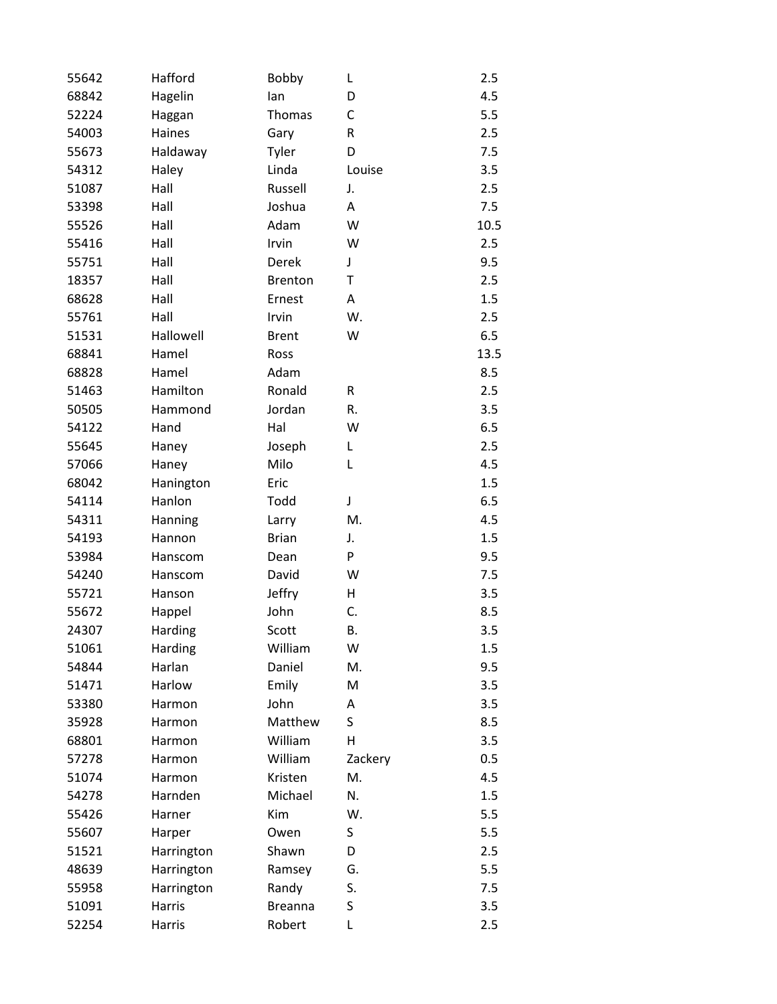| 55642 | Hafford    | Bobby          | L       | 2.5  |
|-------|------------|----------------|---------|------|
| 68842 | Hagelin    | lan            | D       | 4.5  |
| 52224 | Haggan     | Thomas         | C       | 5.5  |
| 54003 | Haines     | Gary           | R       | 2.5  |
| 55673 | Haldaway   | Tyler          | D       | 7.5  |
| 54312 | Haley      | Linda          | Louise  | 3.5  |
| 51087 | Hall       | Russell        | J.      | 2.5  |
| 53398 | Hall       | Joshua         | Α       | 7.5  |
| 55526 | Hall       | Adam           | W       | 10.5 |
| 55416 | Hall       | Irvin          | W       | 2.5  |
| 55751 | Hall       | Derek          | J       | 9.5  |
| 18357 | Hall       | <b>Brenton</b> | Τ       | 2.5  |
| 68628 | Hall       | Ernest         | Α       | 1.5  |
| 55761 | Hall       | Irvin          | W.      | 2.5  |
| 51531 | Hallowell  | <b>Brent</b>   | W       | 6.5  |
| 68841 | Hamel      | Ross           |         | 13.5 |
| 68828 | Hamel      | Adam           |         | 8.5  |
| 51463 | Hamilton   | Ronald         | R       | 2.5  |
| 50505 | Hammond    | Jordan         | R.      | 3.5  |
| 54122 | Hand       | Hal            | W       | 6.5  |
| 55645 | Haney      | Joseph         | L       | 2.5  |
| 57066 | Haney      | Milo           | L       | 4.5  |
| 68042 | Hanington  | Eric           |         | 1.5  |
| 54114 | Hanlon     | Todd           | J       | 6.5  |
| 54311 | Hanning    | Larry          | M.      | 4.5  |
| 54193 | Hannon     | <b>Brian</b>   | J.      | 1.5  |
| 53984 | Hanscom    | Dean           | P       | 9.5  |
| 54240 | Hanscom    | David          | W       | 7.5  |
| 55721 | Hanson     | Jeffry         | н       | 3.5  |
| 55672 | Happel     | John           | C.      | 8.5  |
| 24307 | Harding    | Scott          | В.      | 3.5  |
| 51061 | Harding    | William        | W       | 1.5  |
| 54844 | Harlan     | Daniel         | M.      | 9.5  |
| 51471 | Harlow     | Emily          | M       | 3.5  |
| 53380 | Harmon     | John           | A       | 3.5  |
| 35928 | Harmon     | Matthew        | S       | 8.5  |
| 68801 | Harmon     | William        | Н       | 3.5  |
| 57278 | Harmon     | William        | Zackery | 0.5  |
| 51074 | Harmon     | Kristen        | M.      | 4.5  |
| 54278 | Harnden    | Michael        | N.      | 1.5  |
| 55426 | Harner     | Kim            | W.      | 5.5  |
| 55607 | Harper     | Owen           | S       | 5.5  |
| 51521 | Harrington | Shawn          | D       | 2.5  |
| 48639 | Harrington | Ramsey         | G.      | 5.5  |
| 55958 | Harrington | Randy          | S.      | 7.5  |
| 51091 | Harris     | <b>Breanna</b> | S       | 3.5  |
| 52254 | Harris     | Robert         | L       | 2.5  |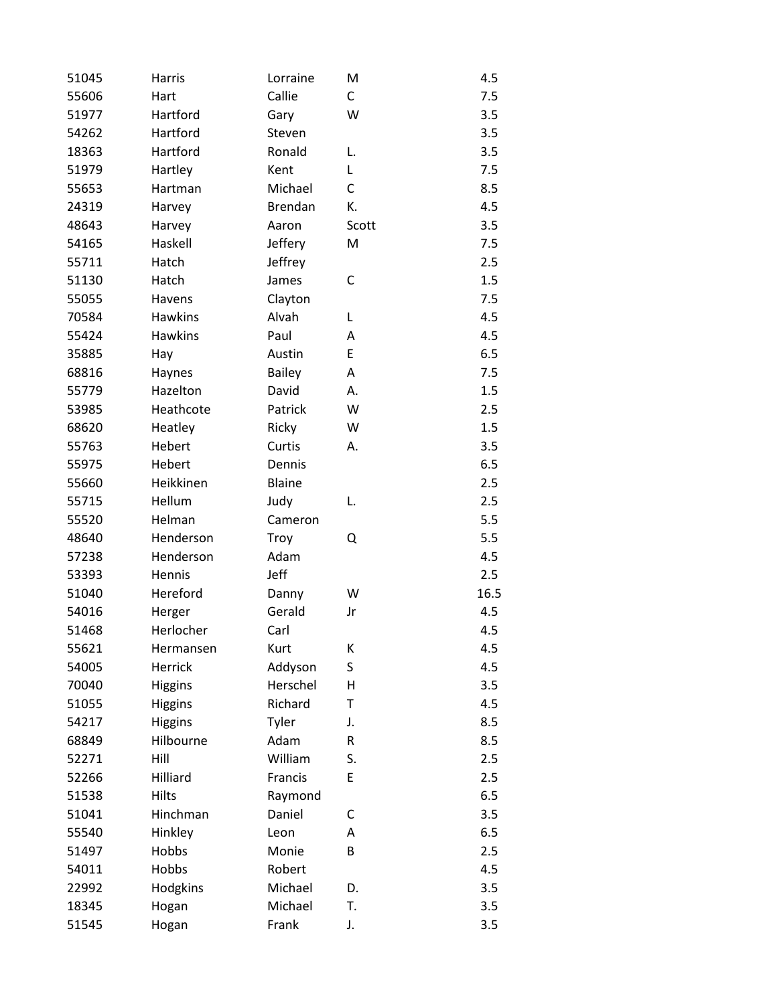| 51045 | Harris         | Lorraine       | M            | 4.5  |
|-------|----------------|----------------|--------------|------|
| 55606 | Hart           | Callie         | $\mathsf{C}$ | 7.5  |
| 51977 | Hartford       | Gary           | W            | 3.5  |
| 54262 | Hartford       | Steven         |              | 3.5  |
| 18363 | Hartford       | Ronald         | L.           | 3.5  |
| 51979 | Hartley        | Kent           | L            | 7.5  |
| 55653 | Hartman        | Michael        | C            | 8.5  |
| 24319 | Harvey         | <b>Brendan</b> | К.           | 4.5  |
| 48643 | Harvey         | Aaron          | Scott        | 3.5  |
| 54165 | Haskell        | Jeffery        | M            | 7.5  |
| 55711 | Hatch          | Jeffrey        |              | 2.5  |
| 51130 | Hatch          | James          | C            | 1.5  |
| 55055 | Havens         | Clayton        |              | 7.5  |
| 70584 | <b>Hawkins</b> | Alvah          | L            | 4.5  |
| 55424 | <b>Hawkins</b> | Paul           | Α            | 4.5  |
| 35885 | Hay            | Austin         | E            | 6.5  |
| 68816 | Haynes         | Bailey         | Α            | 7.5  |
| 55779 | Hazelton       | David          | А.           | 1.5  |
| 53985 | Heathcote      | Patrick        | W            | 2.5  |
| 68620 | Heatley        | Ricky          | W            | 1.5  |
| 55763 | Hebert         | Curtis         | А.           | 3.5  |
| 55975 | Hebert         | Dennis         |              | 6.5  |
| 55660 | Heikkinen      | <b>Blaine</b>  |              | 2.5  |
| 55715 | Hellum         | Judy           | L.           | 2.5  |
| 55520 | Helman         | Cameron        |              | 5.5  |
| 48640 | Henderson      | Troy           | Q            | 5.5  |
| 57238 | Henderson      | Adam           |              | 4.5  |
| 53393 | Hennis         | Jeff           |              | 2.5  |
| 51040 | Hereford       | Danny          | W            | 16.5 |
| 54016 | Herger         | Gerald         | Jr           | 4.5  |
| 51468 | Herlocher      | Carl           |              | 4.5  |
| 55621 | Hermansen      | Kurt           | К            | 4.5  |
| 54005 | Herrick        | Addyson        | S            | 4.5  |
| 70040 | <b>Higgins</b> | Herschel       | Η            | 3.5  |
| 51055 | Higgins        | Richard        | T            | 4.5  |
| 54217 | <b>Higgins</b> | Tyler          | J.           | 8.5  |
| 68849 | Hilbourne      | Adam           | R            | 8.5  |
| 52271 | Hill           | William        | S.           | 2.5  |
| 52266 | Hilliard       | Francis        | E            | 2.5  |
| 51538 | Hilts          | Raymond        |              | 6.5  |
| 51041 | Hinchman       | Daniel         | С            | 3.5  |
| 55540 | Hinkley        | Leon           | Α            | 6.5  |
| 51497 | Hobbs          | Monie          | В            | 2.5  |
| 54011 | Hobbs          | Robert         |              | 4.5  |
| 22992 | Hodgkins       | Michael        | D.           | 3.5  |
| 18345 | Hogan          | Michael        | T.           | 3.5  |
| 51545 | Hogan          | Frank          | J.           | 3.5  |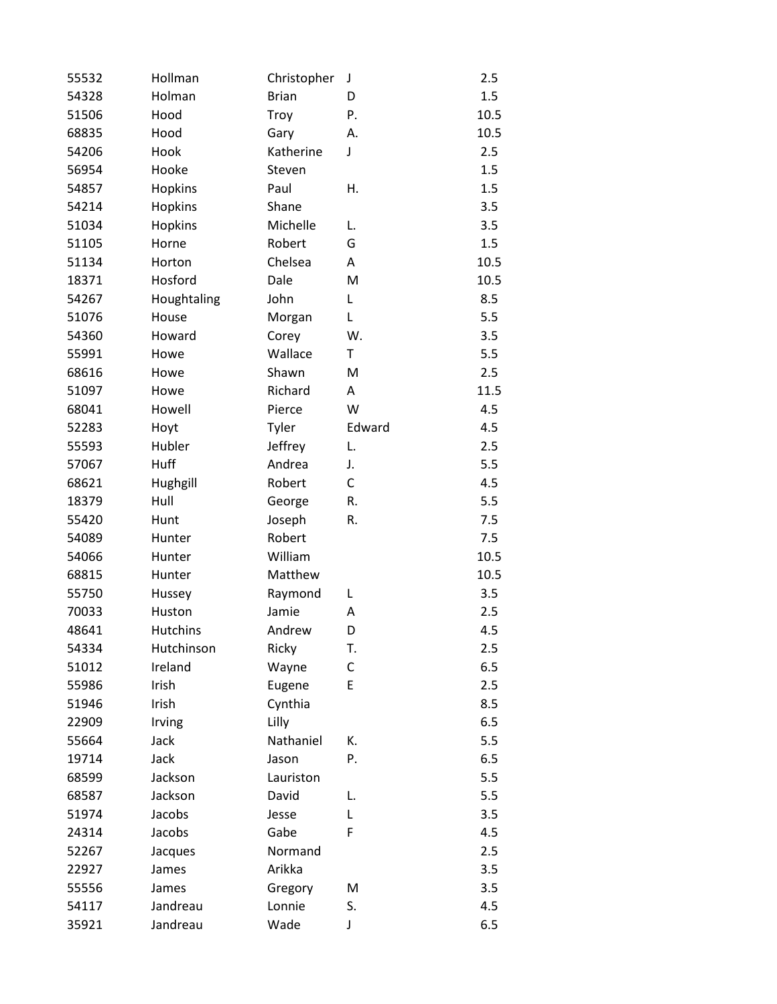| 55532 | Hollman         | Christopher  | J      | 2.5  |
|-------|-----------------|--------------|--------|------|
| 54328 | Holman          | <b>Brian</b> | D      | 1.5  |
| 51506 | Hood            | Troy         | Ρ.     | 10.5 |
| 68835 | Hood            | Gary         | А.     | 10.5 |
| 54206 | Hook            | Katherine    | J      | 2.5  |
| 56954 | Hooke           | Steven       |        | 1.5  |
| 54857 | Hopkins         | Paul         | Η.     | 1.5  |
| 54214 | Hopkins         | Shane        |        | 3.5  |
| 51034 | Hopkins         | Michelle     | L.     | 3.5  |
| 51105 | Horne           | Robert       | G      | 1.5  |
| 51134 | Horton          | Chelsea      | Α      | 10.5 |
| 18371 | Hosford         | Dale         | M      | 10.5 |
| 54267 | Houghtaling     | John         | L      | 8.5  |
| 51076 | House           | Morgan       | L      | 5.5  |
| 54360 | Howard          | Corey        | W.     | 3.5  |
| 55991 | Howe            | Wallace      | T      | 5.5  |
| 68616 | Howe            | Shawn        | M      | 2.5  |
| 51097 | Howe            | Richard      | Α      | 11.5 |
| 68041 | Howell          | Pierce       | W      | 4.5  |
| 52283 | Hoyt            | Tyler        | Edward | 4.5  |
| 55593 | Hubler          | Jeffrey      | L.     | 2.5  |
| 57067 | Huff            | Andrea       | J.     | 5.5  |
| 68621 | Hughgill        | Robert       | C      | 4.5  |
| 18379 | Hull            | George       | R.     | 5.5  |
| 55420 | Hunt            | Joseph       | R.     | 7.5  |
| 54089 | Hunter          | Robert       |        | 7.5  |
| 54066 | Hunter          | William      |        | 10.5 |
| 68815 | Hunter          | Matthew      |        | 10.5 |
| 55750 | Hussey          | Raymond      | L      | 3.5  |
| 70033 | Huston          | Jamie        | A      | 2.5  |
| 48641 | <b>Hutchins</b> | Andrew       | D      | 4.5  |
| 54334 | Hutchinson      | Ricky        | т.     | 2.5  |
| 51012 | Ireland         | Wayne        | C      | 6.5  |
| 55986 | Irish           | Eugene       | E      | 2.5  |
| 51946 | Irish           | Cynthia      |        | 8.5  |
| 22909 | Irving          | Lilly        |        | 6.5  |
| 55664 | Jack            | Nathaniel    | К.     | 5.5  |
| 19714 | Jack            | Jason        | P.     | 6.5  |
| 68599 | Jackson         | Lauriston    |        | 5.5  |
| 68587 | Jackson         | David        | L.     | 5.5  |
| 51974 | Jacobs          | Jesse        | L      | 3.5  |
| 24314 | Jacobs          | Gabe         | F      | 4.5  |
| 52267 | Jacques         | Normand      |        | 2.5  |
| 22927 | James           | Arikka       |        | 3.5  |
| 55556 | James           | Gregory      | M      | 3.5  |
| 54117 | Jandreau        | Lonnie       | S.     | 4.5  |
| 35921 | Jandreau        | Wade         | J      | 6.5  |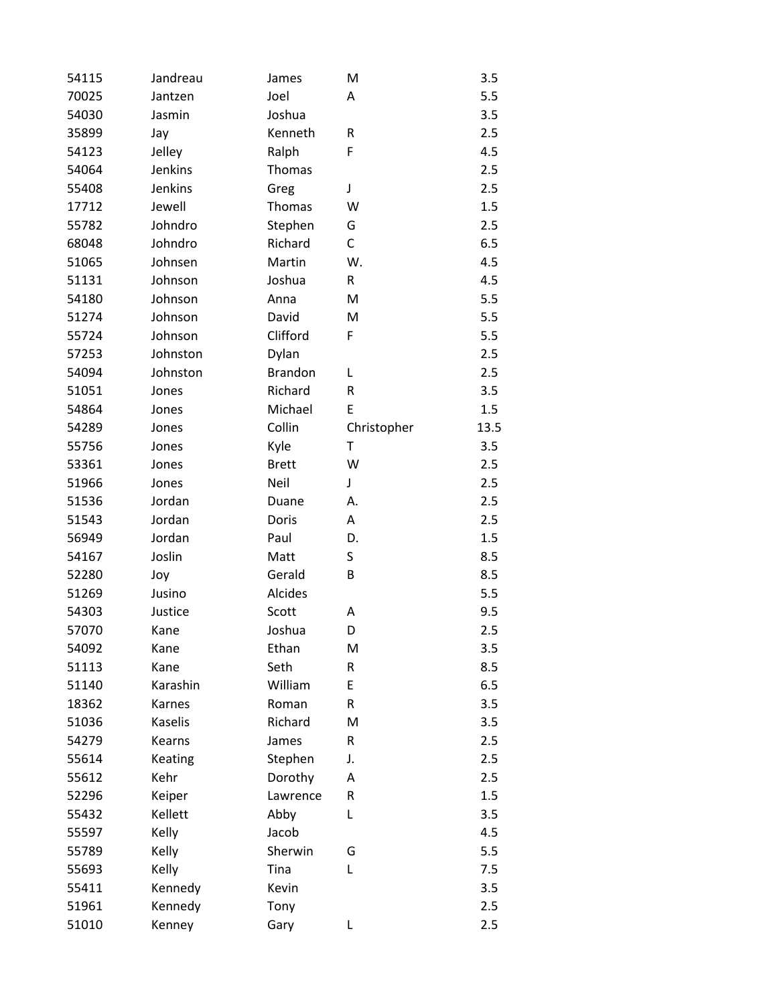| 54115 | Jandreau       | James          | M           | 3.5  |
|-------|----------------|----------------|-------------|------|
| 70025 | Jantzen        | Joel           | Α           | 5.5  |
| 54030 | Jasmin         | Joshua         |             | 3.5  |
| 35899 | Jay            | Kenneth        | R           | 2.5  |
| 54123 | Jelley         | Ralph          | F           | 4.5  |
| 54064 | Jenkins        | Thomas         |             | 2.5  |
| 55408 | Jenkins        | Greg           | J           | 2.5  |
| 17712 | Jewell         | Thomas         | W           | 1.5  |
| 55782 | Johndro        | Stephen        | G           | 2.5  |
| 68048 | Johndro        | Richard        | C           | 6.5  |
| 51065 | Johnsen        | Martin         | W.          | 4.5  |
| 51131 | Johnson        | Joshua         | R           | 4.5  |
| 54180 | Johnson        | Anna           | M           | 5.5  |
| 51274 | Johnson        | David          | M           | 5.5  |
| 55724 | Johnson        | Clifford       | F           | 5.5  |
| 57253 | Johnston       | Dylan          |             | 2.5  |
| 54094 | Johnston       | <b>Brandon</b> | L           | 2.5  |
| 51051 | Jones          | Richard        | R           | 3.5  |
| 54864 | Jones          | Michael        | E           | 1.5  |
| 54289 | Jones          | Collin         | Christopher | 13.5 |
| 55756 | Jones          | Kyle           | Τ           | 3.5  |
| 53361 | Jones          | <b>Brett</b>   | W           | 2.5  |
| 51966 | Jones          | Neil           | J           | 2.5  |
| 51536 | Jordan         | Duane          | А.          | 2.5  |
| 51543 | Jordan         | Doris          | Α           | 2.5  |
| 56949 | Jordan         | Paul           | D.          | 1.5  |
| 54167 | Joslin         | Matt           | S           | 8.5  |
| 52280 | Joy            | Gerald         | B           | 8.5  |
| 51269 | Jusino         | Alcides        |             | 5.5  |
| 54303 | Justice        | Scott          | Α           | 9.5  |
| 57070 | Kane           | Joshua         | D           | 2.5  |
| 54092 | Kane           | Ethan          | M           | 3.5  |
| 51113 | Kane           | Seth           | R           | 8.5  |
| 51140 | Karashin       | William        | E           | 6.5  |
| 18362 | Karnes         | Roman          | R           | 3.5  |
| 51036 | <b>Kaselis</b> | Richard        | M           | 3.5  |
| 54279 | <b>Kearns</b>  | James          | R           | 2.5  |
| 55614 | Keating        | Stephen        | J.          | 2.5  |
| 55612 | Kehr           | Dorothy        | Α           | 2.5  |
| 52296 | Keiper         | Lawrence       | R           | 1.5  |
| 55432 | Kellett        | Abby           | L           | 3.5  |
| 55597 | Kelly          | Jacob          |             | 4.5  |
| 55789 | Kelly          | Sherwin        | G           | 5.5  |
| 55693 | Kelly          | Tina           | L           | 7.5  |
| 55411 | Kennedy        | Kevin          |             | 3.5  |
| 51961 | Kennedy        | Tony           |             | 2.5  |
| 51010 | Kenney         | Gary           | L           | 2.5  |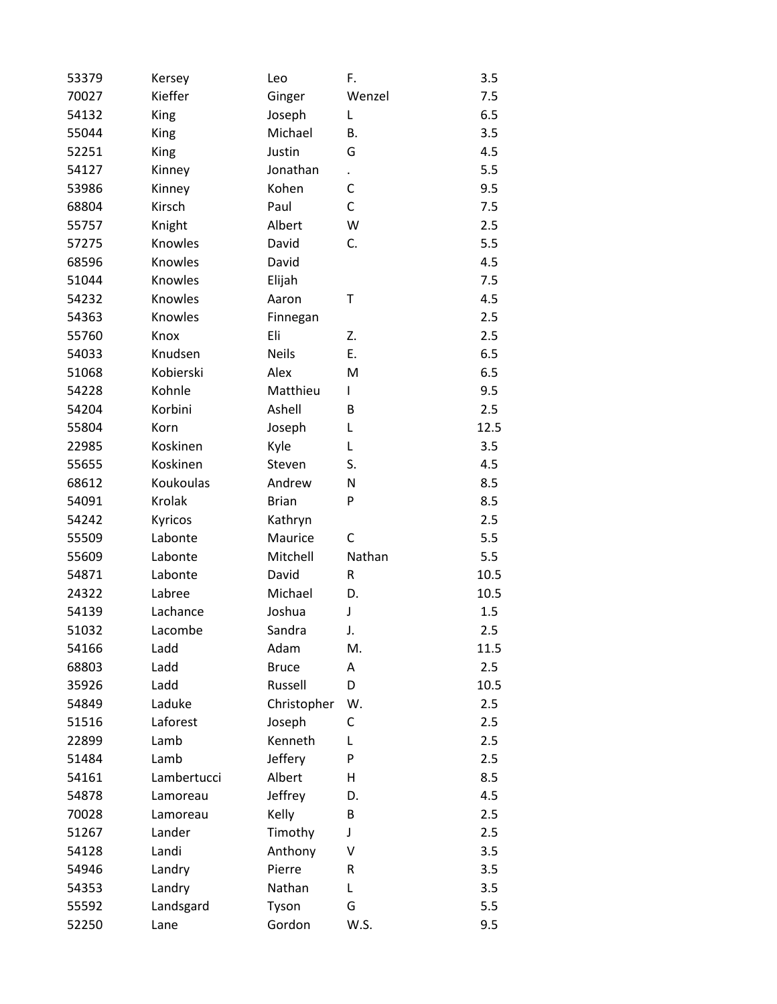| 53379 | Kersey      | Leo          | F.     | 3.5  |
|-------|-------------|--------------|--------|------|
| 70027 | Kieffer     | Ginger       | Wenzel | 7.5  |
| 54132 | King        | Joseph       | L      | 6.5  |
| 55044 | King        | Michael      | В.     | 3.5  |
| 52251 | <b>King</b> | Justin       | G      | 4.5  |
| 54127 | Kinney      | Jonathan     |        | 5.5  |
| 53986 | Kinney      | Kohen        | C      | 9.5  |
| 68804 | Kirsch      | Paul         | C      | 7.5  |
| 55757 | Knight      | Albert       | W      | 2.5  |
| 57275 | Knowles     | David        | C.     | 5.5  |
| 68596 | Knowles     | David        |        | 4.5  |
| 51044 | Knowles     | Elijah       |        | 7.5  |
| 54232 | Knowles     | Aaron        | Τ      | 4.5  |
| 54363 | Knowles     | Finnegan     |        | 2.5  |
| 55760 | Knox        | Eli          | Z.     | 2.5  |
| 54033 | Knudsen     | <b>Neils</b> | Ε.     | 6.5  |
| 51068 | Kobierski   | Alex         | M      | 6.5  |
| 54228 | Kohnle      | Matthieu     | L      | 9.5  |
| 54204 | Korbini     | Ashell       | B      | 2.5  |
| 55804 | Korn        | Joseph       | L      | 12.5 |
| 22985 | Koskinen    | Kyle         | L      | 3.5  |
| 55655 | Koskinen    | Steven       | S.     | 4.5  |
| 68612 | Koukoulas   | Andrew       | N      | 8.5  |
| 54091 | Krolak      | <b>Brian</b> | P      | 8.5  |
| 54242 | Kyricos     | Kathryn      |        | 2.5  |
| 55509 | Labonte     | Maurice      | C      | 5.5  |
| 55609 | Labonte     | Mitchell     | Nathan | 5.5  |
| 54871 | Labonte     | David        | R      | 10.5 |
| 24322 | Labree      | Michael      | D.     | 10.5 |
| 54139 | Lachance    | Joshua       | J      | 1.5  |
| 51032 | Lacombe     | Sandra       | J.     | 2.5  |
| 54166 | Ladd        | Adam         | М.     | 11.5 |
| 68803 | Ladd        | <b>Bruce</b> | Α      | 2.5  |
| 35926 | Ladd        | Russell      | D      | 10.5 |
| 54849 | Laduke      | Christopher  | W.     | 2.5  |
| 51516 | Laforest    | Joseph       | С      | 2.5  |
| 22899 | Lamb        | Kenneth      | L      | 2.5  |
| 51484 | Lamb        | Jeffery      | P      | 2.5  |
| 54161 | Lambertucci | Albert       | Н      | 8.5  |
| 54878 | Lamoreau    | Jeffrey      | D.     | 4.5  |
| 70028 | Lamoreau    | Kelly        | В      | 2.5  |
| 51267 | Lander      | Timothy      | J      | 2.5  |
| 54128 | Landi       | Anthony      | V      | 3.5  |
| 54946 | Landry      | Pierre       | R      | 3.5  |
| 54353 | Landry      | Nathan       | Г      | 3.5  |
| 55592 | Landsgard   | Tyson        | G      | 5.5  |
| 52250 | Lane        | Gordon       | W.S.   | 9.5  |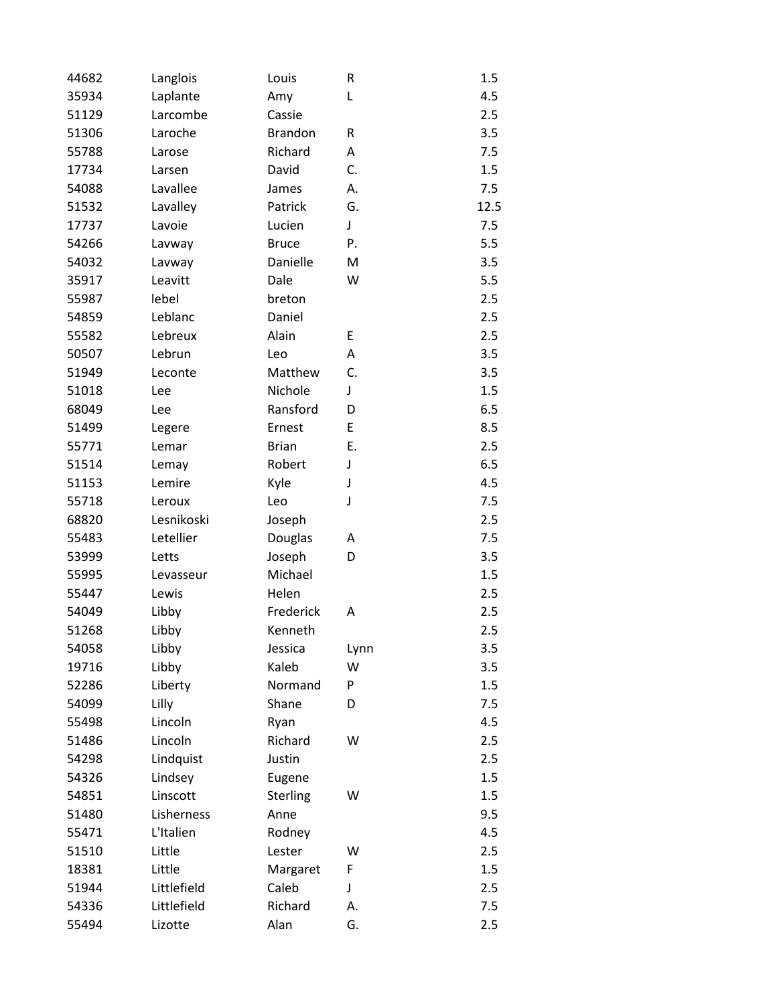| 44682 | Langlois    | Louis          | R    | 1.5  |
|-------|-------------|----------------|------|------|
| 35934 | Laplante    | Amy            | L    | 4.5  |
| 51129 | Larcombe    | Cassie         |      | 2.5  |
| 51306 | Laroche     | <b>Brandon</b> | R    | 3.5  |
| 55788 | Larose      | Richard        | Α    | 7.5  |
| 17734 | Larsen      | David          | C.   | 1.5  |
| 54088 | Lavallee    | James          | А.   | 7.5  |
| 51532 | Lavalley    | Patrick        | G.   | 12.5 |
| 17737 | Lavoie      | Lucien         | J    | 7.5  |
| 54266 | Lavway      | <b>Bruce</b>   | P.   | 5.5  |
| 54032 | Lavway      | Danielle       | M    | 3.5  |
| 35917 | Leavitt     | Dale           | W    | 5.5  |
| 55987 | lebel       | breton         |      | 2.5  |
| 54859 | Leblanc     | Daniel         |      | 2.5  |
| 55582 | Lebreux     | Alain          | E    | 2.5  |
| 50507 | Lebrun      | Leo            | Α    | 3.5  |
| 51949 | Leconte     | Matthew        | C.   | 3.5  |
| 51018 | Lee         | Nichole        | J    | 1.5  |
| 68049 | Lee         | Ransford       | D    | 6.5  |
| 51499 | Legere      | Ernest         | E    | 8.5  |
| 55771 | Lemar       | <b>Brian</b>   | Ε.   | 2.5  |
| 51514 | Lemay       | Robert         | J    | 6.5  |
| 51153 | Lemire      | Kyle           | J    | 4.5  |
| 55718 | Leroux      | Leo            | J    | 7.5  |
| 68820 | Lesnikoski  | Joseph         |      | 2.5  |
| 55483 | Letellier   | Douglas        | A    | 7.5  |
| 53999 | Letts       | Joseph         | D    | 3.5  |
| 55995 | Levasseur   | Michael        |      | 1.5  |
| 55447 | Lewis       | Helen          |      | 2.5  |
| 54049 | Libby       | Frederick      | A    | 2.5  |
| 51268 | Libby       | Kenneth        |      | 2.5  |
| 54058 | Libby       | Jessica        | Lynn | 3.5  |
| 19716 | Libby       | Kaleb          | W    | 3.5  |
| 52286 | Liberty     | Normand        | P    | 1.5  |
| 54099 | Lilly       | Shane          | D    | 7.5  |
| 55498 | Lincoln     | Ryan           |      | 4.5  |
| 51486 | Lincoln     | Richard        | W    | 2.5  |
| 54298 | Lindquist   | Justin         |      | 2.5  |
| 54326 | Lindsey     | Eugene         |      | 1.5  |
| 54851 | Linscott    | Sterling       | W    | 1.5  |
| 51480 | Lisherness  | Anne           |      | 9.5  |
| 55471 | L'Italien   | Rodney         |      | 4.5  |
| 51510 | Little      | Lester         | W    | 2.5  |
| 18381 | Little      | Margaret       | F    | 1.5  |
| 51944 | Littlefield | Caleb          | J    | 2.5  |
| 54336 | Littlefield | Richard        | А.   | 7.5  |
| 55494 | Lizotte     | Alan           | G.   | 2.5  |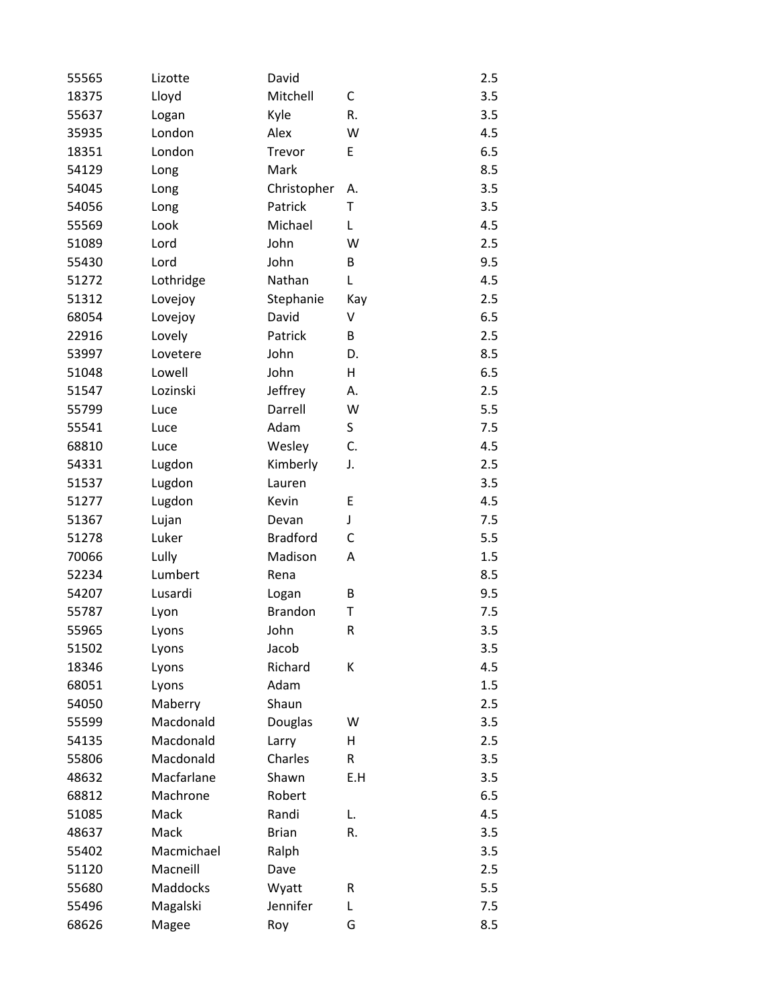| 55565 | Lizotte         | David           |     | 2.5 |
|-------|-----------------|-----------------|-----|-----|
| 18375 | Lloyd           | Mitchell        | C   | 3.5 |
| 55637 | Logan           | Kyle            | R.  | 3.5 |
| 35935 | London          | Alex            | W   | 4.5 |
| 18351 | London          | Trevor          | E   | 6.5 |
| 54129 | Long            | Mark            |     | 8.5 |
| 54045 | Long            | Christopher     | Α.  | 3.5 |
| 54056 | Long            | Patrick         | T   | 3.5 |
| 55569 | Look            | Michael         | L   | 4.5 |
| 51089 | Lord            | John            | W   | 2.5 |
| 55430 | Lord            | John            | В   | 9.5 |
| 51272 | Lothridge       | Nathan          | L   | 4.5 |
| 51312 | Lovejoy         | Stephanie       | Kay | 2.5 |
| 68054 | Lovejoy         | David           | V   | 6.5 |
| 22916 | Lovely          | Patrick         | В   | 2.5 |
| 53997 | Lovetere        | John            | D.  | 8.5 |
| 51048 | Lowell          | John            | Η   | 6.5 |
| 51547 | Lozinski        | Jeffrey         | А.  | 2.5 |
| 55799 | Luce            | Darrell         | W   | 5.5 |
| 55541 | Luce            | Adam            | S   | 7.5 |
| 68810 | Luce            | Wesley          | C.  | 4.5 |
| 54331 | Lugdon          | Kimberly        | J.  | 2.5 |
| 51537 | Lugdon          | Lauren          |     | 3.5 |
| 51277 | Lugdon          | Kevin           | E   | 4.5 |
| 51367 | Lujan           | Devan           | J   | 7.5 |
| 51278 | Luker           | <b>Bradford</b> | C   | 5.5 |
| 70066 | Lully           | Madison         | Α   | 1.5 |
| 52234 | Lumbert         | Rena            |     | 8.5 |
| 54207 | Lusardi         | Logan           | B   | 9.5 |
| 55787 | Lyon            | <b>Brandon</b>  | T   | 7.5 |
| 55965 | Lyons           | John            | R   | 3.5 |
| 51502 | Lyons           | Jacob           |     | 3.5 |
| 18346 | Lyons           | Richard         | K   | 4.5 |
| 68051 | Lyons           | Adam            |     | 1.5 |
| 54050 | Maberry         | Shaun           |     | 2.5 |
| 55599 | Macdonald       | Douglas         | W   | 3.5 |
| 54135 | Macdonald       | Larry           | H   | 2.5 |
| 55806 | Macdonald       | Charles         | R   | 3.5 |
| 48632 | Macfarlane      | Shawn           | E.H | 3.5 |
| 68812 | Machrone        | Robert          |     | 6.5 |
| 51085 | Mack            | Randi           | L.  | 4.5 |
| 48637 | Mack            | <b>Brian</b>    | R.  | 3.5 |
| 55402 | Macmichael      | Ralph           |     | 3.5 |
| 51120 | Macneill        | Dave            |     | 2.5 |
| 55680 | <b>Maddocks</b> | Wyatt           | R   | 5.5 |
| 55496 | Magalski        | Jennifer        | L   | 7.5 |
| 68626 | Magee           | Roy             | G   | 8.5 |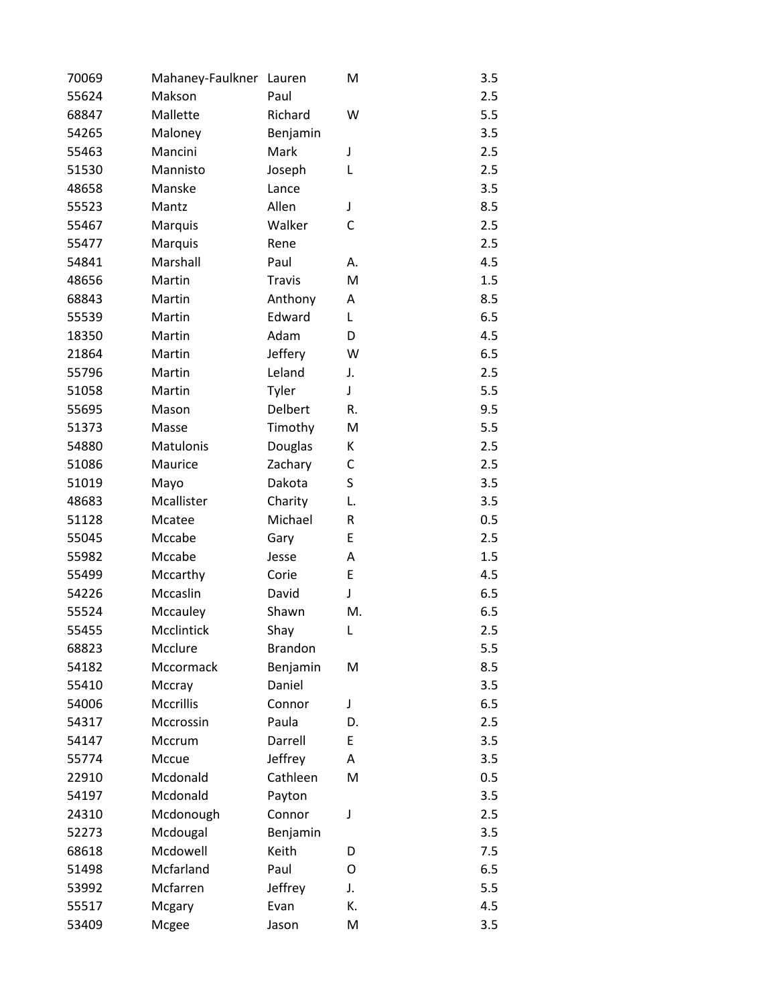| 70069 | Mahaney-Faulkner Lauren |                | M  | 3.5 |
|-------|-------------------------|----------------|----|-----|
| 55624 | Makson                  | Paul           |    | 2.5 |
| 68847 | Mallette                | Richard        | W  | 5.5 |
| 54265 | Maloney                 | Benjamin       |    | 3.5 |
| 55463 | Mancini                 | Mark           | J  | 2.5 |
| 51530 | Mannisto                | Joseph         | L  | 2.5 |
| 48658 | Manske                  | Lance          |    | 3.5 |
| 55523 | Mantz                   | Allen          | J  | 8.5 |
| 55467 | Marquis                 | Walker         | C  | 2.5 |
| 55477 | Marquis                 | Rene           |    | 2.5 |
| 54841 | Marshall                | Paul           | А. | 4.5 |
| 48656 | Martin                  | <b>Travis</b>  | M  | 1.5 |
| 68843 | Martin                  | Anthony        | Α  | 8.5 |
| 55539 | Martin                  | Edward         | L  | 6.5 |
| 18350 | Martin                  | Adam           | D  | 4.5 |
| 21864 | Martin                  | Jeffery        | W  | 6.5 |
| 55796 | Martin                  | Leland         | J. | 2.5 |
| 51058 | Martin                  | Tyler          | J  | 5.5 |
| 55695 | Mason                   | Delbert        | R. | 9.5 |
| 51373 | Masse                   | Timothy        | M  | 5.5 |
| 54880 | Matulonis               | Douglas        | K  | 2.5 |
| 51086 | Maurice                 | Zachary        | C  | 2.5 |
| 51019 | Mayo                    | Dakota         | S  | 3.5 |
| 48683 | Mcallister              | Charity        | L. | 3.5 |
| 51128 | Mcatee                  | Michael        | R  | 0.5 |
| 55045 | Mccabe                  | Gary           | E  | 2.5 |
| 55982 | Mccabe                  | Jesse          | Α  | 1.5 |
| 55499 | Mccarthy                | Corie          | E  | 4.5 |
| 54226 | Mccaslin                | David          | J  | 6.5 |
| 55524 | Mccauley                | Shawn          | M. | 6.5 |
| 55455 | Mcclintick              | Shay           | L  | 2.5 |
| 68823 | Mcclure                 | <b>Brandon</b> |    | 5.5 |
| 54182 | Mccormack               | Benjamin       | M  | 8.5 |
| 55410 | Mccray                  | Daniel         |    | 3.5 |
| 54006 | Mccrillis               | Connor         | J  | 6.5 |
| 54317 | Mccrossin               | Paula          | D. | 2.5 |
| 54147 | Mccrum                  | Darrell        | E  | 3.5 |
| 55774 | Mccue                   | Jeffrey        | Α  | 3.5 |
| 22910 | Mcdonald                | Cathleen       | M  | 0.5 |
| 54197 | Mcdonald                | Payton         |    | 3.5 |
| 24310 | Mcdonough               | Connor         | J  | 2.5 |
| 52273 | Mcdougal                | Benjamin       |    | 3.5 |
| 68618 | Mcdowell                | Keith          | D  | 7.5 |
| 51498 | Mcfarland               | Paul           | 0  | 6.5 |
| 53992 | Mcfarren                | Jeffrey        | J. | 5.5 |
| 55517 | Mcgary                  | Evan           | К. | 4.5 |
| 53409 | Mcgee                   | Jason          | M  | 3.5 |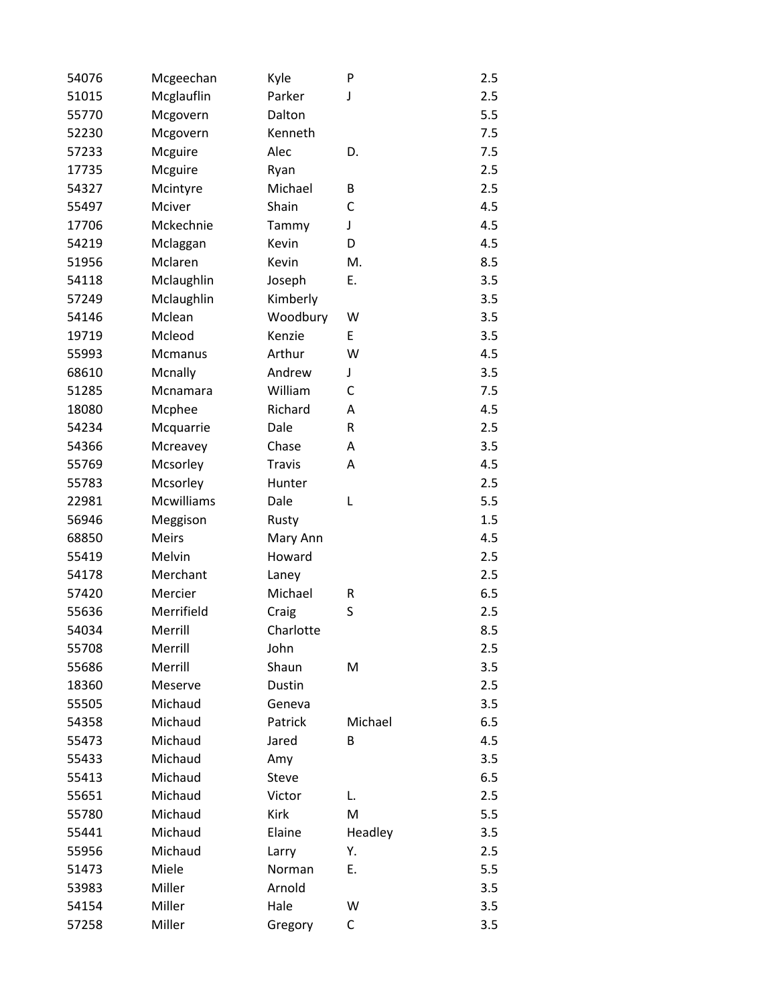| 54076 | Mcgeechan    | Kyle          | P         | 2.5 |
|-------|--------------|---------------|-----------|-----|
| 51015 | Mcglauflin   | Parker        | J         | 2.5 |
| 55770 | Mcgovern     | Dalton        |           | 5.5 |
| 52230 | Mcgovern     | Kenneth       |           | 7.5 |
| 57233 | Mcguire      | Alec          | D.        | 7.5 |
| 17735 | Mcguire      | Ryan          |           | 2.5 |
| 54327 | Mcintyre     | Michael       | B         | 2.5 |
| 55497 | Mciver       | Shain         | C         | 4.5 |
| 17706 | Mckechnie    | Tammy         | J         | 4.5 |
| 54219 | Mclaggan     | Kevin         | D         | 4.5 |
| 51956 | Mclaren      | Kevin         | M.        | 8.5 |
| 54118 | Mclaughlin   | Joseph        | Ε.        | 3.5 |
| 57249 | Mclaughlin   | Kimberly      |           | 3.5 |
| 54146 | Mclean       | Woodbury      | W         | 3.5 |
| 19719 | Mcleod       | Kenzie        | E         | 3.5 |
| 55993 | Mcmanus      | Arthur        | W         | 4.5 |
| 68610 | Mcnally      | Andrew        | J         | 3.5 |
| 51285 | Mcnamara     | William       | C         | 7.5 |
| 18080 | Mcphee       | Richard       | Α         | 4.5 |
| 54234 | Mcquarrie    | Dale          | ${\sf R}$ | 2.5 |
| 54366 | Mcreavey     | Chase         | A         | 3.5 |
| 55769 | Mcsorley     | <b>Travis</b> | Α         | 4.5 |
| 55783 | Mcsorley     | Hunter        |           | 2.5 |
| 22981 | Mcwilliams   | Dale          | L         | 5.5 |
| 56946 | Meggison     | Rusty         |           | 1.5 |
| 68850 | <b>Meirs</b> | Mary Ann      |           | 4.5 |
| 55419 | Melvin       | Howard        |           | 2.5 |
| 54178 | Merchant     | Laney         |           | 2.5 |
| 57420 | Mercier      | Michael       | R         | 6.5 |
| 55636 | Merrifield   | Craig         | S         | 2.5 |
| 54034 | Merrill      | Charlotte     |           | 8.5 |
| 55708 | Merrill      | John          |           | 2.5 |
| 55686 | Merrill      | Shaun         | M         | 3.5 |
| 18360 | Meserve      | Dustin        |           | 2.5 |
| 55505 | Michaud      | Geneva        |           | 3.5 |
| 54358 | Michaud      | Patrick       | Michael   | 6.5 |
| 55473 | Michaud      | Jared         | В         | 4.5 |
| 55433 | Michaud      | Amy           |           | 3.5 |
| 55413 | Michaud      | Steve         |           | 6.5 |
| 55651 | Michaud      | Victor        | L.        | 2.5 |
| 55780 | Michaud      | Kirk          | M         | 5.5 |
| 55441 | Michaud      | Elaine        | Headley   | 3.5 |
| 55956 | Michaud      | Larry         | Υ.        | 2.5 |
| 51473 | Miele        | Norman        | Ε.        | 5.5 |
| 53983 | Miller       | Arnold        |           | 3.5 |
| 54154 | Miller       | Hale          | W         | 3.5 |
| 57258 | Miller       | Gregory       | С         | 3.5 |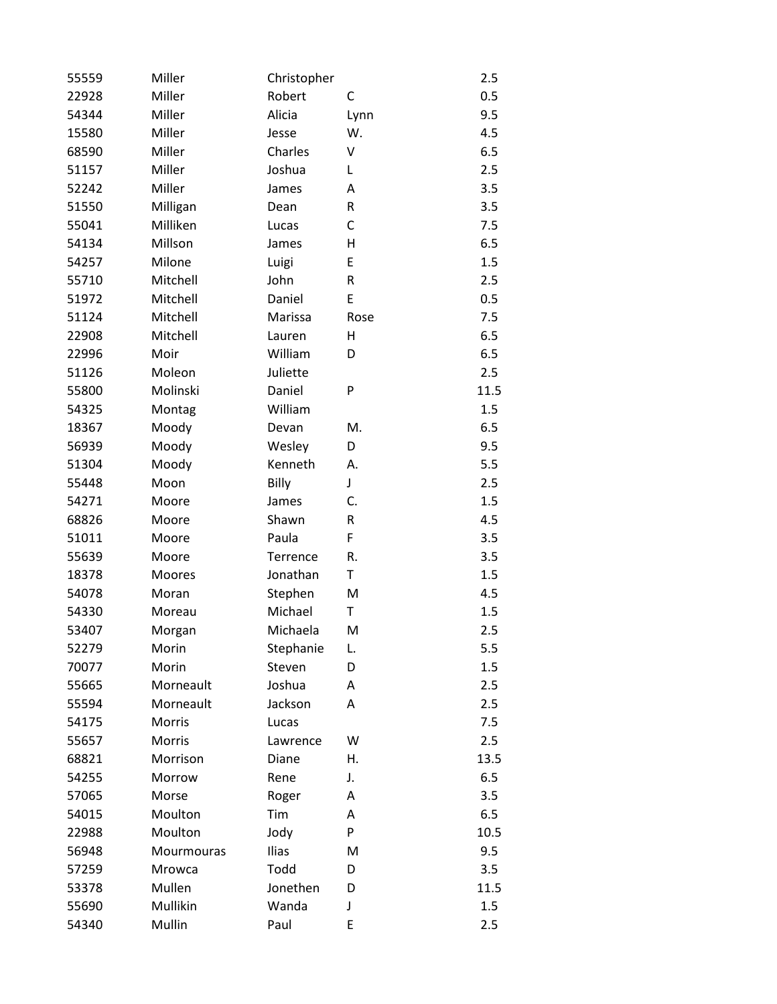| 55559 | Miller        | Christopher |      | 2.5  |
|-------|---------------|-------------|------|------|
| 22928 | Miller        | Robert      | С    | 0.5  |
| 54344 | Miller        | Alicia      | Lynn | 9.5  |
| 15580 | Miller        | Jesse       | W.   | 4.5  |
| 68590 | Miller        | Charles     | V    | 6.5  |
| 51157 | Miller        | Joshua      | L    | 2.5  |
| 52242 | Miller        | James       | Α    | 3.5  |
| 51550 | Milligan      | Dean        | R    | 3.5  |
| 55041 | Milliken      | Lucas       | C    | 7.5  |
| 54134 | Millson       | James       | Н    | 6.5  |
| 54257 | Milone        | Luigi       | E    | 1.5  |
| 55710 | Mitchell      | John        | R    | 2.5  |
| 51972 | Mitchell      | Daniel      | E    | 0.5  |
| 51124 | Mitchell      | Marissa     | Rose | 7.5  |
| 22908 | Mitchell      | Lauren      | Η    | 6.5  |
| 22996 | Moir          | William     | D    | 6.5  |
| 51126 | Moleon        | Juliette    |      | 2.5  |
| 55800 | Molinski      | Daniel      | P    | 11.5 |
| 54325 | Montag        | William     |      | 1.5  |
| 18367 | Moody         | Devan       | M.   | 6.5  |
| 56939 | Moody         | Wesley      | D    | 9.5  |
| 51304 | Moody         | Kenneth     | А.   | 5.5  |
| 55448 | Moon          | Billy       | J    | 2.5  |
| 54271 | Moore         | James       | C.   | 1.5  |
| 68826 | Moore         | Shawn       | R    | 4.5  |
| 51011 | Moore         | Paula       | F    | 3.5  |
| 55639 | Moore         | Terrence    | R.   | 3.5  |
| 18378 | Moores        | Jonathan    | T    | 1.5  |
| 54078 | Moran         | Stephen     | M    | 4.5  |
| 54330 | Moreau        | Michael     | Τ    | 1.5  |
| 53407 | Morgan        | Michaela    | M    | 2.5  |
| 52279 | Morin         | Stephanie   | L.   | 5.5  |
| 70077 | Morin         | Steven      | D    | 1.5  |
| 55665 | Morneault     | Joshua      | A    | 2.5  |
| 55594 | Morneault     | Jackson     | Α    | 2.5  |
| 54175 | <b>Morris</b> | Lucas       |      | 7.5  |
| 55657 | <b>Morris</b> | Lawrence    | W    | 2.5  |
| 68821 | Morrison      | Diane       | Н.   | 13.5 |
| 54255 | Morrow        | Rene        | J.   | 6.5  |
| 57065 | Morse         | Roger       | Α    | 3.5  |
| 54015 | Moulton       | Tim         | Α    | 6.5  |
| 22988 | Moulton       | Jody        | P    | 10.5 |
| 56948 | Mourmouras    | Ilias       | M    | 9.5  |
| 57259 | Mrowca        | Todd        | D    | 3.5  |
| 53378 | Mullen        | Jonethen    | D    | 11.5 |
| 55690 | Mullikin      | Wanda       | J    | 1.5  |
| 54340 | Mullin        | Paul        | E    | 2.5  |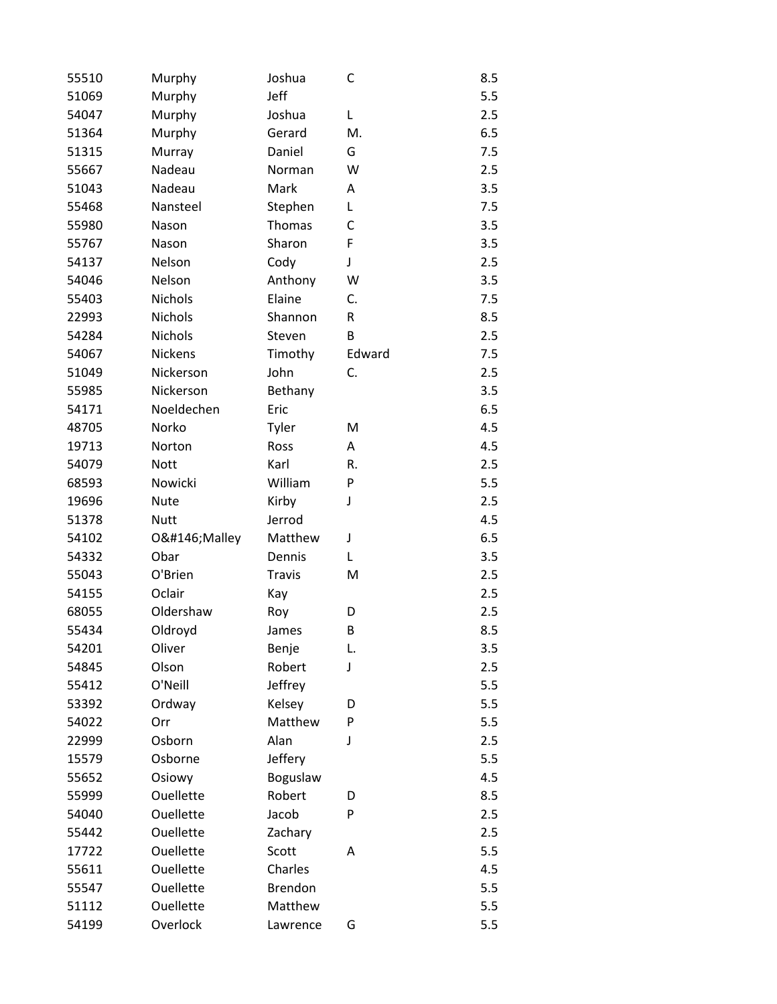| 55510 | Murphy      | Joshua        | C      | 8.5 |
|-------|-------------|---------------|--------|-----|
| 51069 | Murphy      | Jeff          |        | 5.5 |
| 54047 | Murphy      | Joshua        | Г      | 2.5 |
| 51364 | Murphy      | Gerard        | М.     | 6.5 |
| 51315 | Murray      | Daniel        | G      | 7.5 |
| 55667 | Nadeau      | Norman        | W      | 2.5 |
| 51043 | Nadeau      | Mark          | Α      | 3.5 |
| 55468 | Nansteel    | Stephen       | L      | 7.5 |
| 55980 | Nason       | <b>Thomas</b> | C      | 3.5 |
| 55767 | Nason       | Sharon        | F      | 3.5 |
| 54137 | Nelson      | Cody          | J      | 2.5 |
| 54046 | Nelson      | Anthony       | W      | 3.5 |
| 55403 | Nichols     | Elaine        | C.     | 7.5 |
| 22993 | Nichols     | Shannon       | R      | 8.5 |
| 54284 | Nichols     | Steven        | B      | 2.5 |
| 54067 | Nickens     | Timothy       | Edward | 7.5 |
| 51049 | Nickerson   | John          | C.     | 2.5 |
| 55985 | Nickerson   | Bethany       |        | 3.5 |
| 54171 | Noeldechen  | Eric          |        | 6.5 |
| 48705 | Norko       | Tyler         | M      | 4.5 |
| 19713 | Norton      | Ross          | A      | 4.5 |
| 54079 | <b>Nott</b> | Karl          | R.     | 2.5 |
| 68593 | Nowicki     | William       | P      | 5.5 |
| 19696 | <b>Nute</b> | Kirby         | J      | 2.5 |
| 51378 | <b>Nutt</b> | Jerrod        |        | 4.5 |
| 54102 | O'Malley    | Matthew       | J      | 6.5 |
| 54332 | Obar        | Dennis        | L      | 3.5 |
| 55043 | O'Brien     | <b>Travis</b> | M      | 2.5 |
| 54155 | Oclair      | Kay           |        | 2.5 |
| 68055 | Oldershaw   | Roy           | D      | 2.5 |
| 55434 | Oldroyd     | James         | B      | 8.5 |
| 54201 | Oliver      | Benje         | L.     | 3.5 |
| 54845 | Olson       | Robert        | J      | 2.5 |
| 55412 | O'Neill     | Jeffrey       |        | 5.5 |
| 53392 | Ordway      | Kelsey        | D      | 5.5 |
| 54022 | Orr         | Matthew       | P      | 5.5 |
| 22999 | Osborn      | Alan          | J      | 2.5 |
| 15579 | Osborne     | Jeffery       |        | 5.5 |
| 55652 | Osiowy      | Boguslaw      |        | 4.5 |
| 55999 | Ouellette   | Robert        | D      | 8.5 |
| 54040 | Ouellette   | Jacob         | P      | 2.5 |
| 55442 | Ouellette   | Zachary       |        | 2.5 |
| 17722 | Ouellette   | Scott         | Α      | 5.5 |
| 55611 | Ouellette   | Charles       |        | 4.5 |
| 55547 | Ouellette   | Brendon       |        | 5.5 |
| 51112 | Ouellette   | Matthew       |        | 5.5 |
| 54199 | Overlock    | Lawrence      | G      | 5.5 |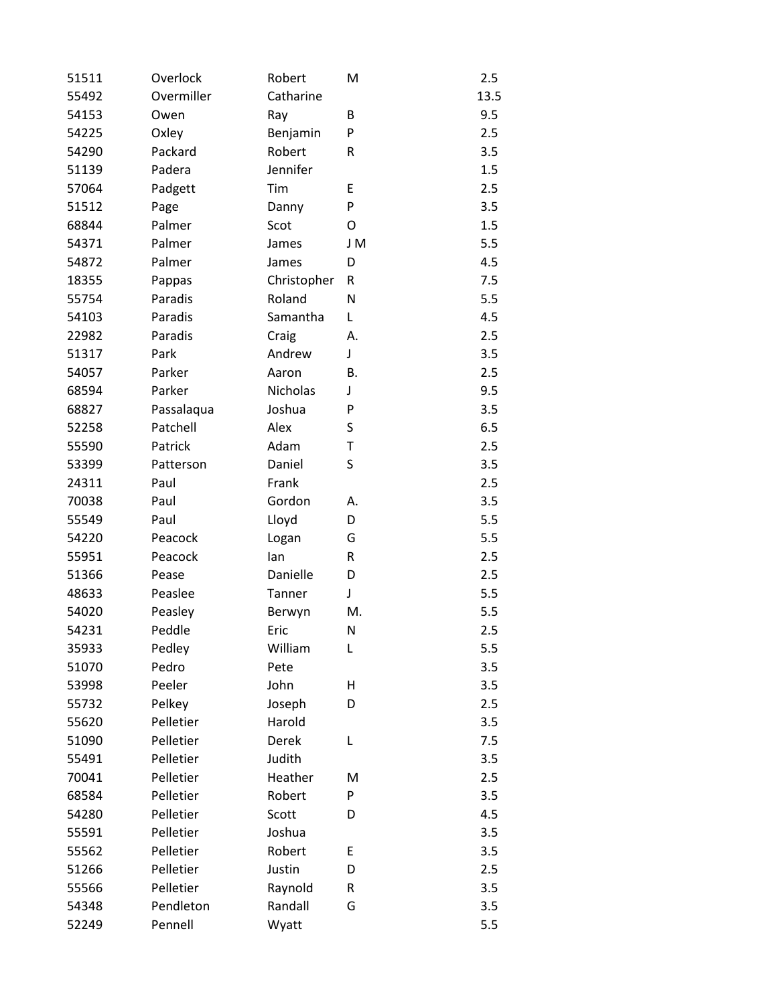| 51511 | Overlock   | Robert      | M         | 2.5  |
|-------|------------|-------------|-----------|------|
| 55492 | Overmiller | Catharine   |           | 13.5 |
| 54153 | Owen       | Ray         | B         | 9.5  |
| 54225 | Oxley      | Benjamin    | P         | 2.5  |
| 54290 | Packard    | Robert      | R         | 3.5  |
| 51139 | Padera     | Jennifer    |           | 1.5  |
| 57064 | Padgett    | Tim         | E         | 2.5  |
| 51512 | Page       | Danny       | P         | 3.5  |
| 68844 | Palmer     | Scot        | O         | 1.5  |
| 54371 | Palmer     | James       | J M       | 5.5  |
| 54872 | Palmer     | James       | D         | 4.5  |
| 18355 | Pappas     | Christopher | R         | 7.5  |
| 55754 | Paradis    | Roland      | N         | 5.5  |
| 54103 | Paradis    | Samantha    | L         | 4.5  |
| 22982 | Paradis    | Craig       | А.        | 2.5  |
| 51317 | Park       | Andrew      | J         | 3.5  |
| 54057 | Parker     | Aaron       | В.        | 2.5  |
| 68594 | Parker     | Nicholas    | J         | 9.5  |
| 68827 | Passalaqua | Joshua      | P         | 3.5  |
| 52258 | Patchell   | Alex        | S         | 6.5  |
| 55590 | Patrick    | Adam        | Τ         | 2.5  |
| 53399 | Patterson  | Daniel      | S         | 3.5  |
| 24311 | Paul       | Frank       |           | 2.5  |
| 70038 | Paul       | Gordon      | А.        | 3.5  |
| 55549 | Paul       | Lloyd       | D         | 5.5  |
| 54220 | Peacock    | Logan       | G         | 5.5  |
| 55951 | Peacock    | lan         | ${\sf R}$ | 2.5  |
| 51366 | Pease      | Danielle    | D         | 2.5  |
| 48633 | Peaslee    | Tanner      | J         | 5.5  |
| 54020 | Peasley    | Berwyn      | M.        | 5.5  |
| 54231 | Peddle     | Eric        | N         | 2.5  |
| 35933 | Pedley     | William     | L         | 5.5  |
| 51070 | Pedro      | Pete        |           | 3.5  |
| 53998 | Peeler     | John        | Н         | 3.5  |
| 55732 | Pelkey     | Joseph      | D         | 2.5  |
| 55620 | Pelletier  | Harold      |           | 3.5  |
| 51090 | Pelletier  | Derek       | L         | 7.5  |
| 55491 | Pelletier  | Judith      |           | 3.5  |
| 70041 | Pelletier  | Heather     | M         | 2.5  |
| 68584 | Pelletier  | Robert      | P         | 3.5  |
| 54280 | Pelletier  | Scott       | D         | 4.5  |
| 55591 | Pelletier  | Joshua      |           | 3.5  |
| 55562 | Pelletier  | Robert      | E         | 3.5  |
| 51266 | Pelletier  | Justin      | D         | 2.5  |
| 55566 | Pelletier  | Raynold     | R         | 3.5  |
| 54348 | Pendleton  | Randall     | G         | 3.5  |
| 52249 | Pennell    | Wyatt       |           | 5.5  |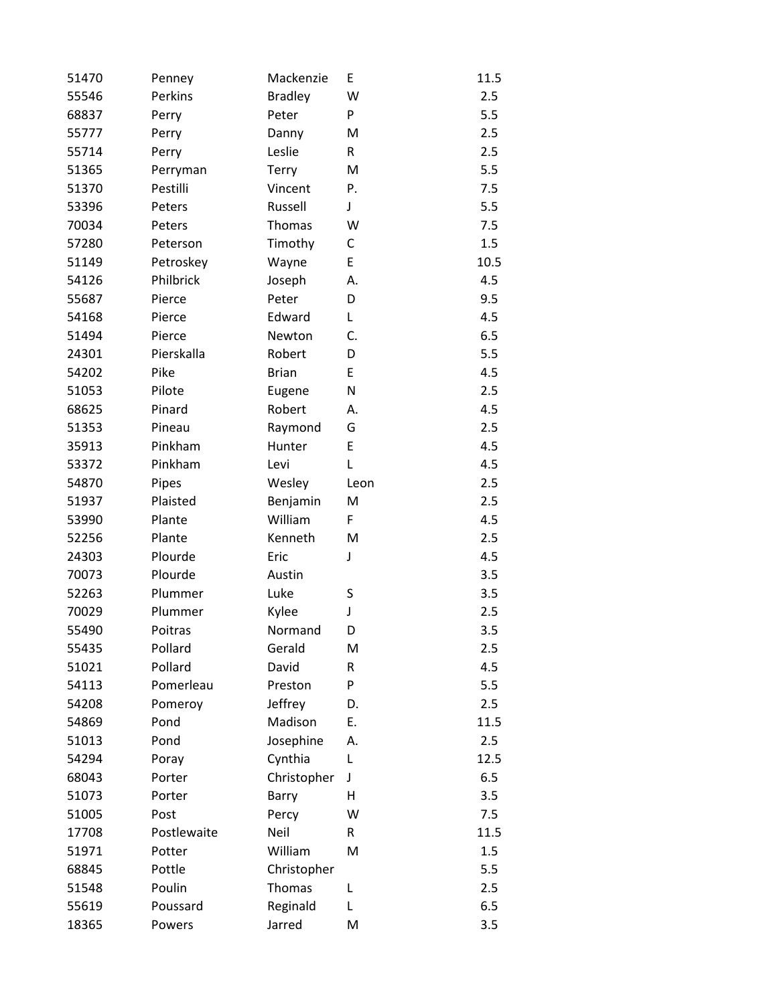| 51470 | Penney      | Mackenzie      | E            | 11.5 |
|-------|-------------|----------------|--------------|------|
| 55546 | Perkins     | <b>Bradley</b> | W            | 2.5  |
| 68837 | Perry       | Peter          | P            | 5.5  |
| 55777 | Perry       | Danny          | M            | 2.5  |
| 55714 | Perry       | Leslie         | $\mathsf{R}$ | 2.5  |
| 51365 | Perryman    | Terry          | M            | 5.5  |
| 51370 | Pestilli    | Vincent        | Ρ.           | 7.5  |
| 53396 | Peters      | Russell        | J            | 5.5  |
| 70034 | Peters      | Thomas         | W            | 7.5  |
| 57280 | Peterson    | Timothy        | C            | 1.5  |
| 51149 | Petroskey   | Wayne          | E            | 10.5 |
| 54126 | Philbrick   | Joseph         | А.           | 4.5  |
| 55687 | Pierce      | Peter          | D            | 9.5  |
| 54168 | Pierce      | Edward         | L            | 4.5  |
| 51494 | Pierce      | Newton         | C.           | 6.5  |
| 24301 | Pierskalla  | Robert         | D            | 5.5  |
| 54202 | Pike        | <b>Brian</b>   | E            | 4.5  |
| 51053 | Pilote      | Eugene         | N            | 2.5  |
| 68625 | Pinard      | Robert         | А.           | 4.5  |
| 51353 | Pineau      | Raymond        | G            | 2.5  |
| 35913 | Pinkham     | Hunter         | E            | 4.5  |
| 53372 | Pinkham     | Levi           | L            | 4.5  |
| 54870 | Pipes       | Wesley         | Leon         | 2.5  |
| 51937 | Plaisted    | Benjamin       | M            | 2.5  |
| 53990 | Plante      | William        | F            | 4.5  |
| 52256 | Plante      | Kenneth        | M            | 2.5  |
| 24303 | Plourde     | Eric           | J            | 4.5  |
| 70073 | Plourde     | Austin         |              | 3.5  |
| 52263 | Plummer     | Luke           | S            | 3.5  |
| 70029 | Plummer     | Kylee          | J            | 2.5  |
| 55490 | Poitras     | Normand        | D            | 3.5  |
| 55435 | Pollard     | Gerald         | M            | 2.5  |
| 51021 | Pollard     | David          | R            | 4.5  |
| 54113 | Pomerleau   | Preston        | P            | 5.5  |
| 54208 | Pomeroy     | Jeffrey        | D.           | 2.5  |
| 54869 | Pond        | Madison        | E.           | 11.5 |
| 51013 | Pond        | Josephine      | А.           | 2.5  |
| 54294 | Poray       | Cynthia        | L            | 12.5 |
| 68043 | Porter      | Christopher    | J            | 6.5  |
| 51073 | Porter      | Barry          | Н            | 3.5  |
| 51005 | Post        | Percy          | W            | 7.5  |
| 17708 | Postlewaite | Neil           | R            | 11.5 |
| 51971 | Potter      | William        | M            | 1.5  |
| 68845 | Pottle      | Christopher    |              | 5.5  |
| 51548 | Poulin      | Thomas         | L            | 2.5  |
| 55619 | Poussard    | Reginald       | L            | 6.5  |
| 18365 | Powers      | Jarred         | M            | 3.5  |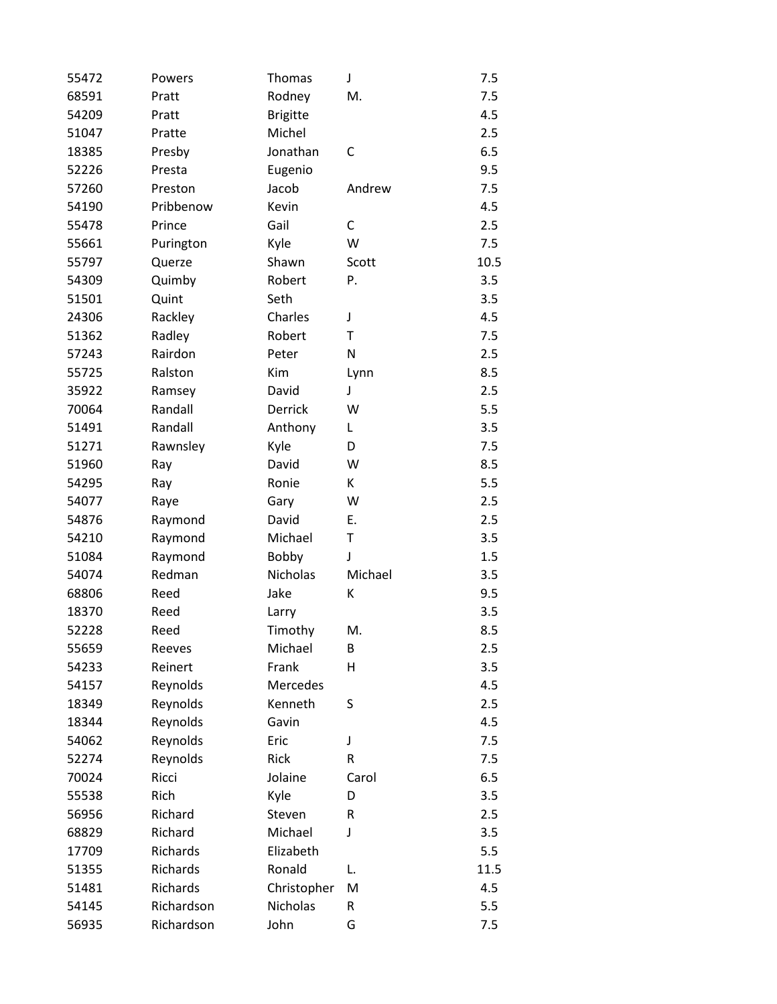| 55472 | Powers     | Thomas          | J       | 7.5  |
|-------|------------|-----------------|---------|------|
| 68591 | Pratt      | Rodney          | M.      | 7.5  |
| 54209 | Pratt      | <b>Brigitte</b> |         | 4.5  |
| 51047 | Pratte     | Michel          |         | 2.5  |
| 18385 | Presby     | Jonathan        | С       | 6.5  |
| 52226 | Presta     | Eugenio         |         | 9.5  |
| 57260 | Preston    | Jacob           | Andrew  | 7.5  |
| 54190 | Pribbenow  | Kevin           |         | 4.5  |
| 55478 | Prince     | Gail            | C       | 2.5  |
| 55661 | Purington  | Kyle            | W       | 7.5  |
| 55797 | Querze     | Shawn           | Scott   | 10.5 |
| 54309 | Quimby     | Robert          | P.      | 3.5  |
| 51501 | Quint      | Seth            |         | 3.5  |
| 24306 | Rackley    | Charles         | J       | 4.5  |
| 51362 | Radley     | Robert          | Τ       | 7.5  |
| 57243 | Rairdon    | Peter           | N       | 2.5  |
| 55725 | Ralston    | Kim             | Lynn    | 8.5  |
| 35922 | Ramsey     | David           | J       | 2.5  |
| 70064 | Randall    | Derrick         | W       | 5.5  |
| 51491 | Randall    | Anthony         | L       | 3.5  |
| 51271 | Rawnsley   | Kyle            | D       | 7.5  |
| 51960 | Ray        | David           | W       | 8.5  |
| 54295 | Ray        | Ronie           | К       | 5.5  |
| 54077 | Raye       | Gary            | W       | 2.5  |
| 54876 | Raymond    | David           | Ε.      | 2.5  |
| 54210 | Raymond    | Michael         | T       | 3.5  |
| 51084 | Raymond    | Bobby           | J       | 1.5  |
| 54074 | Redman     | Nicholas        | Michael | 3.5  |
| 68806 | Reed       | Jake            | К       | 9.5  |
| 18370 | Reed       | Larry           |         | 3.5  |
| 52228 | Reed       | Timothy         | M.      | 8.5  |
| 55659 | Reeves     | Michael         | В       | 2.5  |
| 54233 | Reinert    | Frank           | Η       | 3.5  |
| 54157 | Reynolds   | Mercedes        |         | 4.5  |
| 18349 | Reynolds   | Kenneth         | S       | 2.5  |
| 18344 | Reynolds   | Gavin           |         | 4.5  |
| 54062 | Reynolds   | Eric            | J       | 7.5  |
| 52274 | Reynolds   | Rick            | R       | 7.5  |
| 70024 | Ricci      | Jolaine         | Carol   | 6.5  |
| 55538 | Rich       | Kyle            | D       | 3.5  |
| 56956 | Richard    | Steven          | R       | 2.5  |
| 68829 | Richard    | Michael         | J       | 3.5  |
| 17709 | Richards   | Elizabeth       |         | 5.5  |
| 51355 | Richards   | Ronald          | L.      | 11.5 |
| 51481 | Richards   | Christopher     | M       | 4.5  |
| 54145 | Richardson | Nicholas        | R       | 5.5  |
| 56935 | Richardson | John            | G       | 7.5  |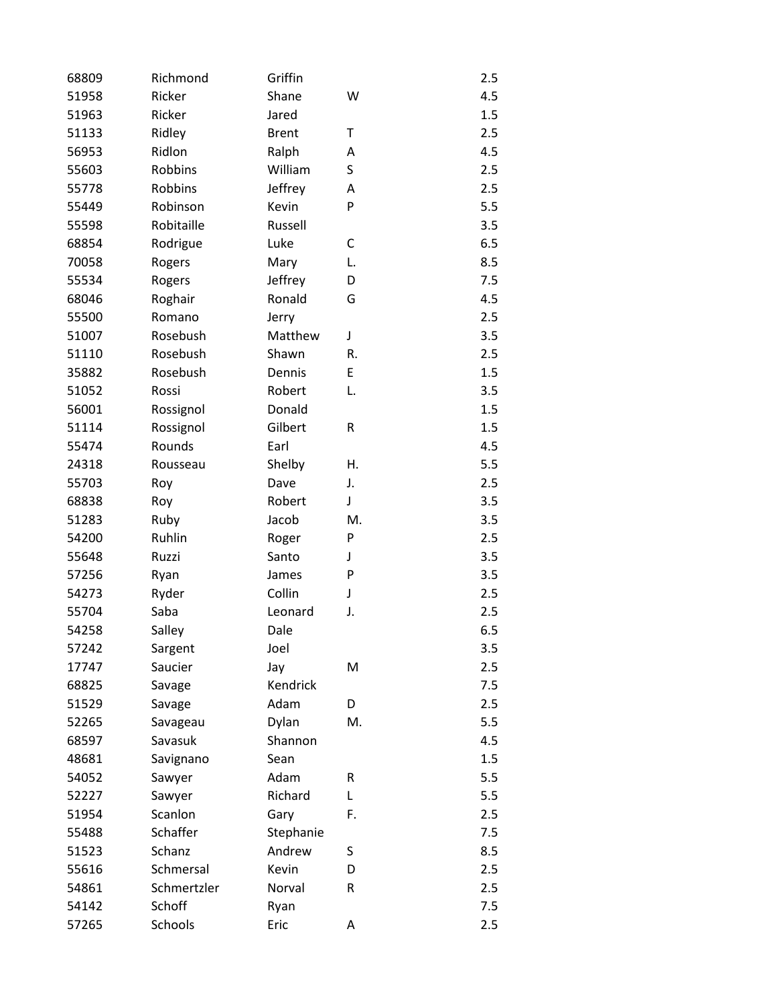| 68809 | Richmond       | Griffin      |    | 2.5 |
|-------|----------------|--------------|----|-----|
| 51958 | Ricker         | Shane        | W  | 4.5 |
| 51963 | Ricker         | Jared        |    | 1.5 |
| 51133 | Ridley         | <b>Brent</b> | т  | 2.5 |
| 56953 | Ridlon         | Ralph        | A  | 4.5 |
| 55603 | <b>Robbins</b> | William      | S  | 2.5 |
| 55778 | Robbins        | Jeffrey      | А  | 2.5 |
| 55449 | Robinson       | Kevin        | P  | 5.5 |
| 55598 | Robitaille     | Russell      |    | 3.5 |
| 68854 | Rodrigue       | Luke         | C  | 6.5 |
| 70058 | Rogers         | Mary         | L. | 8.5 |
| 55534 | Rogers         | Jeffrey      | D  | 7.5 |
| 68046 | Roghair        | Ronald       | G  | 4.5 |
| 55500 | Romano         | Jerry        |    | 2.5 |
| 51007 | Rosebush       | Matthew      | J  | 3.5 |
| 51110 | Rosebush       | Shawn        | R. | 2.5 |
| 35882 | Rosebush       | Dennis       | E  | 1.5 |
| 51052 | Rossi          | Robert       | L. | 3.5 |
| 56001 | Rossignol      | Donald       |    | 1.5 |
| 51114 | Rossignol      | Gilbert      | R  | 1.5 |
| 55474 | Rounds         | Earl         |    | 4.5 |
| 24318 | Rousseau       | Shelby       | Η. | 5.5 |
| 55703 | Roy            | Dave         | J. | 2.5 |
| 68838 | Roy            | Robert       | J  | 3.5 |
| 51283 | Ruby           | Jacob        | M. | 3.5 |
| 54200 | Ruhlin         | Roger        | P  | 2.5 |
| 55648 | Ruzzi          | Santo        | J  | 3.5 |
| 57256 | Ryan           | James        | P  | 3.5 |
| 54273 | Ryder          | Collin       | J  | 2.5 |
| 55704 | Saba           | Leonard      | J. | 2.5 |
| 54258 | Salley         | Dale         |    | 6.5 |
| 57242 | Sargent        | Joel         |    | 3.5 |
| 17747 | Saucier        | Jay          | M  | 2.5 |
| 68825 | Savage         | Kendrick     |    | 7.5 |
| 51529 | Savage         | Adam         | D  | 2.5 |
| 52265 | Savageau       | Dylan        | M. | 5.5 |
| 68597 | Savasuk        | Shannon      |    | 4.5 |
| 48681 | Savignano      | Sean         |    | 1.5 |
| 54052 | Sawyer         | Adam         | R  | 5.5 |
| 52227 | Sawyer         | Richard      | L  | 5.5 |
| 51954 | Scanlon        | Gary         | F. | 2.5 |
| 55488 | Schaffer       | Stephanie    |    | 7.5 |
| 51523 | Schanz         | Andrew       | S  | 8.5 |
| 55616 | Schmersal      | Kevin        | D  | 2.5 |
| 54861 | Schmertzler    | Norval       | R  | 2.5 |
| 54142 | Schoff         | Ryan         |    | 7.5 |
| 57265 | Schools        | Eric         | A  | 2.5 |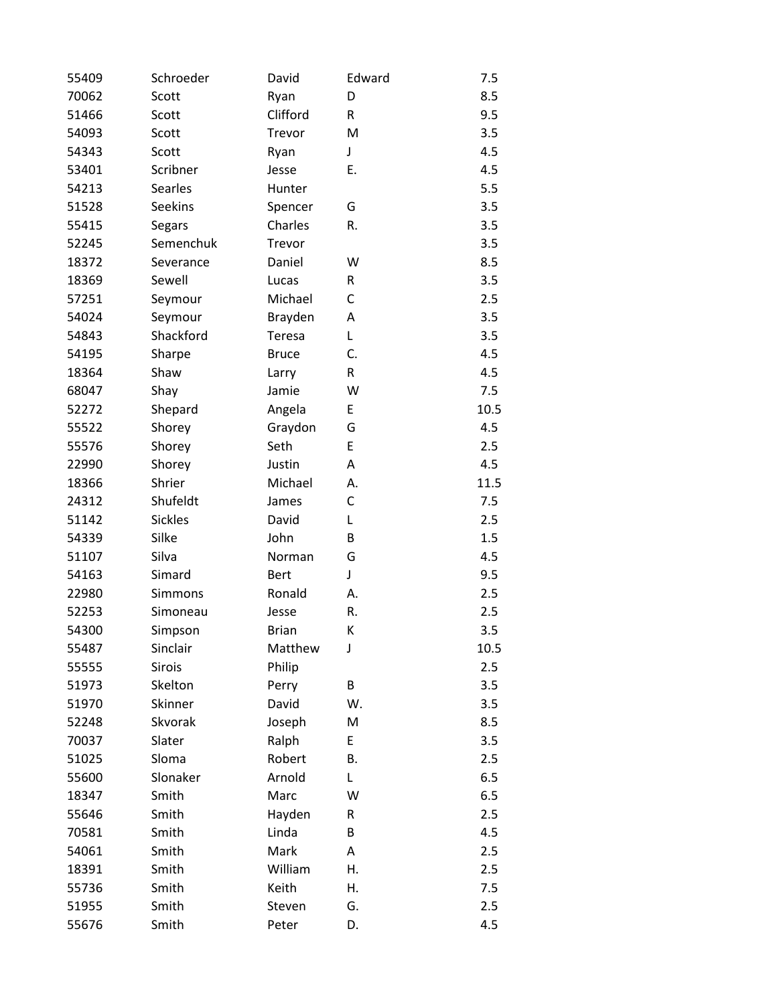| 55409 | Schroeder      | David        | Edward | 7.5  |
|-------|----------------|--------------|--------|------|
| 70062 | Scott          | Ryan         | D      | 8.5  |
| 51466 | Scott          | Clifford     | R      | 9.5  |
| 54093 | Scott          | Trevor       | M      | 3.5  |
| 54343 | Scott          | Ryan         | J      | 4.5  |
| 53401 | Scribner       | Jesse        | Ε.     | 4.5  |
| 54213 | Searles        | Hunter       |        | 5.5  |
| 51528 | <b>Seekins</b> | Spencer      | G      | 3.5  |
| 55415 | Segars         | Charles      | R.     | 3.5  |
| 52245 | Semenchuk      | Trevor       |        | 3.5  |
| 18372 | Severance      | Daniel       | W      | 8.5  |
| 18369 | Sewell         | Lucas        | R      | 3.5  |
| 57251 | Seymour        | Michael      | С      | 2.5  |
| 54024 | Seymour        | Brayden      | Α      | 3.5  |
| 54843 | Shackford      | Teresa       | L      | 3.5  |
| 54195 | Sharpe         | <b>Bruce</b> | C.     | 4.5  |
| 18364 | Shaw           | Larry        | R      | 4.5  |
| 68047 | Shay           | Jamie        | W      | 7.5  |
| 52272 | Shepard        | Angela       | E      | 10.5 |
| 55522 | Shorey         | Graydon      | G      | 4.5  |
| 55576 | Shorey         | Seth         | E      | 2.5  |
| 22990 | Shorey         | Justin       | Α      | 4.5  |
| 18366 | Shrier         | Michael      | А.     | 11.5 |
| 24312 | Shufeldt       | James        | C      | 7.5  |
| 51142 | <b>Sickles</b> | David        | L      | 2.5  |
| 54339 | Silke          | John         | B      | 1.5  |
| 51107 | Silva          | Norman       | G      | 4.5  |
| 54163 | Simard         | <b>Bert</b>  | J      | 9.5  |
| 22980 | Simmons        | Ronald       | А.     | 2.5  |
| 52253 | Simoneau       | Jesse        | R.     | 2.5  |
| 54300 | Simpson        | <b>Brian</b> | К      | 3.5  |
| 55487 | Sinclair       | Matthew      | J      | 10.5 |
| 55555 | Sirois         | Philip       |        | 2.5  |
| 51973 | Skelton        | Perry        | В      | 3.5  |
| 51970 | Skinner        | David        | W.     | 3.5  |
| 52248 | Skvorak        | Joseph       | M      | 8.5  |
| 70037 | Slater         | Ralph        | E      | 3.5  |
| 51025 | Sloma          | Robert       | В.     | 2.5  |
| 55600 | Slonaker       | Arnold       | L      | 6.5  |
| 18347 | Smith          | Marc         | W      | 6.5  |
| 55646 | Smith          | Hayden       | R      | 2.5  |
| 70581 | Smith          | Linda        | В      | 4.5  |
| 54061 | Smith          | Mark         | Α      | 2.5  |
| 18391 | Smith          | William      | Η.     | 2.5  |
| 55736 | Smith          | Keith        | Η.     | 7.5  |
| 51955 | Smith          | Steven       | G.     | 2.5  |
| 55676 | Smith          | Peter        | D.     | 4.5  |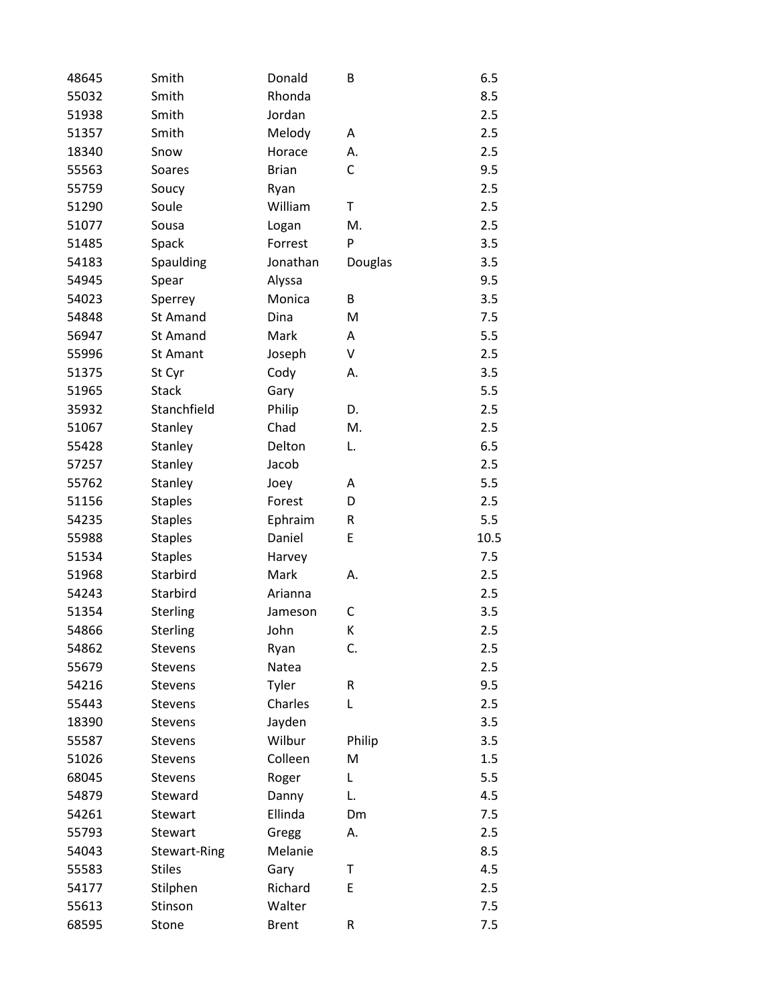| 48645 | Smith          | Donald       | B       | 6.5  |
|-------|----------------|--------------|---------|------|
| 55032 | Smith          | Rhonda       |         | 8.5  |
| 51938 | Smith          | Jordan       |         | 2.5  |
| 51357 | Smith          | Melody       | A       | 2.5  |
| 18340 | Snow           | Horace       | А.      | 2.5  |
| 55563 | Soares         | <b>Brian</b> | С       | 9.5  |
| 55759 | Soucy          | Ryan         |         | 2.5  |
| 51290 | Soule          | William      | Τ       | 2.5  |
| 51077 | Sousa          | Logan        | M.      | 2.5  |
| 51485 | Spack          | Forrest      | P       | 3.5  |
| 54183 | Spaulding      | Jonathan     | Douglas | 3.5  |
| 54945 | Spear          | Alyssa       |         | 9.5  |
| 54023 | Sperrey        | Monica       | В       | 3.5  |
| 54848 | St Amand       | Dina         | M       | 7.5  |
| 56947 | St Amand       | Mark         | Α       | 5.5  |
| 55996 | St Amant       | Joseph       | V       | 2.5  |
| 51375 | St Cyr         | Cody         | А.      | 3.5  |
| 51965 | <b>Stack</b>   | Gary         |         | 5.5  |
| 35932 | Stanchfield    | Philip       | D.      | 2.5  |
| 51067 | Stanley        | Chad         | M.      | 2.5  |
| 55428 | Stanley        | Delton       | L.      | 6.5  |
| 57257 | Stanley        | Jacob        |         | 2.5  |
| 55762 | Stanley        | Joey         | Α       | 5.5  |
| 51156 | <b>Staples</b> | Forest       | D       | 2.5  |
| 54235 | <b>Staples</b> | Ephraim      | R       | 5.5  |
| 55988 | <b>Staples</b> | Daniel       | E       | 10.5 |
| 51534 | <b>Staples</b> | Harvey       |         | 7.5  |
| 51968 | Starbird       | Mark         | А.      | 2.5  |
| 54243 | Starbird       | Arianna      |         | 2.5  |
| 51354 | Sterling       | Jameson      | С       | 3.5  |
| 54866 | Sterling       | John         | К       | 2.5  |
| 54862 | Stevens        | Ryan         | C.      | 2.5  |
| 55679 | Stevens        | Natea        |         | 2.5  |
| 54216 | Stevens        | Tyler        | R       | 9.5  |
| 55443 | Stevens        | Charles      | L       | 2.5  |
| 18390 | Stevens        | Jayden       |         | 3.5  |
| 55587 | Stevens        | Wilbur       | Philip  | 3.5  |
| 51026 | Stevens        | Colleen      | M       | 1.5  |
| 68045 | Stevens        | Roger        | Г       | 5.5  |
| 54879 | Steward        | Danny        | L.      | 4.5  |
| 54261 | Stewart        | Ellinda      | Dm      | 7.5  |
| 55793 | Stewart        | Gregg        | А.      | 2.5  |
| 54043 | Stewart-Ring   | Melanie      |         | 8.5  |
| 55583 | <b>Stiles</b>  | Gary         | Τ       | 4.5  |
| 54177 | Stilphen       | Richard      | E       | 2.5  |
| 55613 | Stinson        | Walter       |         | 7.5  |
| 68595 | Stone          | <b>Brent</b> | R       | 7.5  |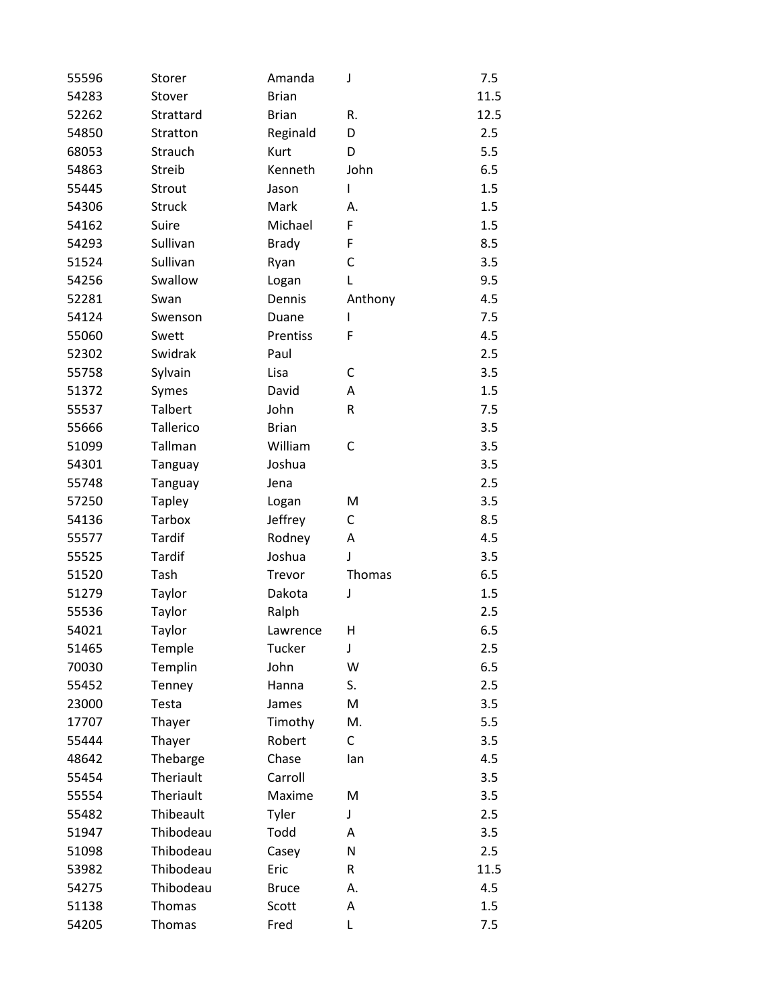| 55596 | Storer         | Amanda       | J       | 7.5  |
|-------|----------------|--------------|---------|------|
| 54283 | Stover         | <b>Brian</b> |         | 11.5 |
| 52262 | Strattard      | <b>Brian</b> | R.      | 12.5 |
| 54850 | Stratton       | Reginald     | D       | 2.5  |
| 68053 | Strauch        | Kurt         | D       | 5.5  |
| 54863 | Streib         | Kenneth      | John    | 6.5  |
| 55445 | Strout         | Jason        | I       | 1.5  |
| 54306 | <b>Struck</b>  | Mark         | А.      | 1.5  |
| 54162 | Suire          | Michael      | F       | 1.5  |
| 54293 | Sullivan       | <b>Brady</b> | F       | 8.5  |
| 51524 | Sullivan       | Ryan         | C       | 3.5  |
| 54256 | Swallow        | Logan        | L       | 9.5  |
| 52281 | Swan           | Dennis       | Anthony | 4.5  |
| 54124 | Swenson        | Duane        | I       | 7.5  |
| 55060 | Swett          | Prentiss     | F       | 4.5  |
| 52302 | Swidrak        | Paul         |         | 2.5  |
| 55758 | Sylvain        | Lisa         | С       | 3.5  |
| 51372 | Symes          | David        | Α       | 1.5  |
| 55537 | <b>Talbert</b> | John         | R       | 7.5  |
| 55666 | Tallerico      | <b>Brian</b> |         | 3.5  |
| 51099 | Tallman        | William      | C       | 3.5  |
| 54301 | Tanguay        | Joshua       |         | 3.5  |
| 55748 | Tanguay        | Jena         |         | 2.5  |
| 57250 | <b>Tapley</b>  | Logan        | M       | 3.5  |
| 54136 | Tarbox         | Jeffrey      | C       | 8.5  |
| 55577 | Tardif         | Rodney       | Α       | 4.5  |
| 55525 | Tardif         | Joshua       | J       | 3.5  |
| 51520 | Tash           | Trevor       | Thomas  | 6.5  |
| 51279 | Taylor         | Dakota       | J       | 1.5  |
| 55536 | Taylor         | Ralph        |         | 2.5  |
| 54021 | Taylor         | Lawrence     | Η       | 6.5  |
| 51465 | Temple         | Tucker       | J       | 2.5  |
| 70030 | Templin        | John         | W       | 6.5  |
| 55452 | Tenney         | Hanna        | S.      | 2.5  |
| 23000 | Testa          | James        | M       | 3.5  |
| 17707 | Thayer         | Timothy      | M.      | 5.5  |
| 55444 | Thayer         | Robert       | C       | 3.5  |
| 48642 | Thebarge       | Chase        | lan     | 4.5  |
| 55454 | Theriault      | Carroll      |         | 3.5  |
| 55554 | Theriault      | Maxime       | M       | 3.5  |
| 55482 | Thibeault      | Tyler        | J       | 2.5  |
| 51947 | Thibodeau      | Todd         | Α       | 3.5  |
| 51098 | Thibodeau      | Casey        | N       | 2.5  |
| 53982 | Thibodeau      | Eric         | R       | 11.5 |
| 54275 | Thibodeau      | <b>Bruce</b> | А.      | 4.5  |
| 51138 | Thomas         | Scott        | Α       | 1.5  |
| 54205 | Thomas         | Fred         | L       | 7.5  |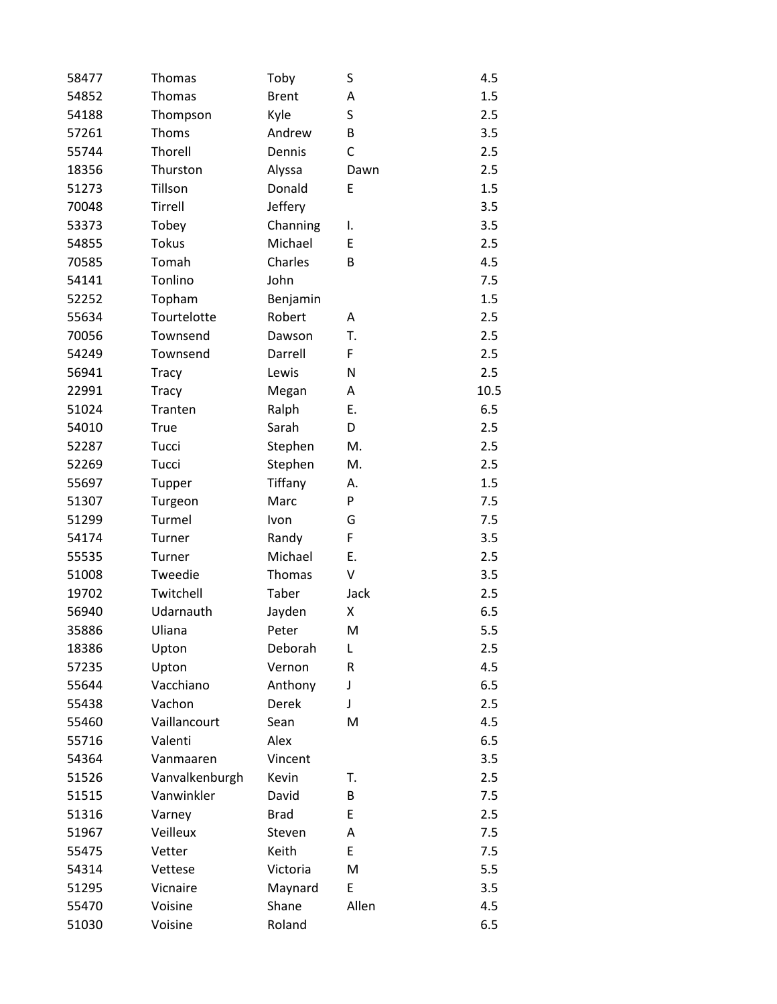| 58477 | Thomas         | Toby          | S     | 4.5  |
|-------|----------------|---------------|-------|------|
| 54852 | Thomas         | <b>Brent</b>  | Α     | 1.5  |
| 54188 | Thompson       | Kyle          | S     | 2.5  |
| 57261 | Thoms          | Andrew        | В     | 3.5  |
| 55744 | Thorell        | Dennis        | C     | 2.5  |
| 18356 | Thurston       | Alyssa        | Dawn  | 2.5  |
| 51273 | Tillson        | Donald        | E     | 1.5  |
| 70048 | Tirrell        | Jeffery       |       | 3.5  |
| 53373 | Tobey          | Channing      | I.    | 3.5  |
| 54855 | <b>Tokus</b>   | Michael       | E     | 2.5  |
| 70585 | Tomah          | Charles       | В     | 4.5  |
| 54141 | Tonlino        | John          |       | 7.5  |
| 52252 | Topham         | Benjamin      |       | 1.5  |
| 55634 | Tourtelotte    | Robert        | Α     | 2.5  |
| 70056 | Townsend       | Dawson        | T.    | 2.5  |
| 54249 | Townsend       | Darrell       | F     | 2.5  |
| 56941 | <b>Tracy</b>   | Lewis         | N     | 2.5  |
| 22991 | <b>Tracy</b>   | Megan         | Α     | 10.5 |
| 51024 | Tranten        | Ralph         | Ε.    | 6.5  |
| 54010 | True           | Sarah         | D     | 2.5  |
| 52287 | Tucci          | Stephen       | M.    | 2.5  |
| 52269 | Tucci          | Stephen       | M.    | 2.5  |
| 55697 | Tupper         | Tiffany       | А.    | 1.5  |
| 51307 | Turgeon        | Marc          | P     | 7.5  |
| 51299 | Turmel         | Ivon          | G     | 7.5  |
| 54174 | Turner         | Randy         | F     | 3.5  |
| 55535 | Turner         | Michael       | Ε.    | 2.5  |
| 51008 | Tweedie        | <b>Thomas</b> | V     | 3.5  |
| 19702 | Twitchell      | Taber         | Jack  | 2.5  |
| 56940 | Udarnauth      | Jayden        | Χ     | 6.5  |
| 35886 | Uliana         | Peter         | M     | 5.5  |
| 18386 | Upton          | Deborah       | L     | 2.5  |
| 57235 | Upton          | Vernon        | R     | 4.5  |
| 55644 | Vacchiano      | Anthony       | J     | 6.5  |
| 55438 | Vachon         | <b>Derek</b>  | J     | 2.5  |
| 55460 | Vaillancourt   | Sean          | M     | 4.5  |
| 55716 | Valenti        | Alex          |       | 6.5  |
| 54364 | Vanmaaren      | Vincent       |       | 3.5  |
| 51526 | Vanvalkenburgh | Kevin         | Т.    | 2.5  |
| 51515 | Vanwinkler     | David         | В     | 7.5  |
| 51316 | Varney         | <b>Brad</b>   | E     | 2.5  |
| 51967 | Veilleux       | Steven        | Α     | 7.5  |
| 55475 | Vetter         | Keith         | E     | 7.5  |
| 54314 | Vettese        | Victoria      | M     | 5.5  |
| 51295 | Vicnaire       | Maynard       | E     | 3.5  |
| 55470 | Voisine        | Shane         | Allen | 4.5  |
| 51030 | Voisine        | Roland        |       | 6.5  |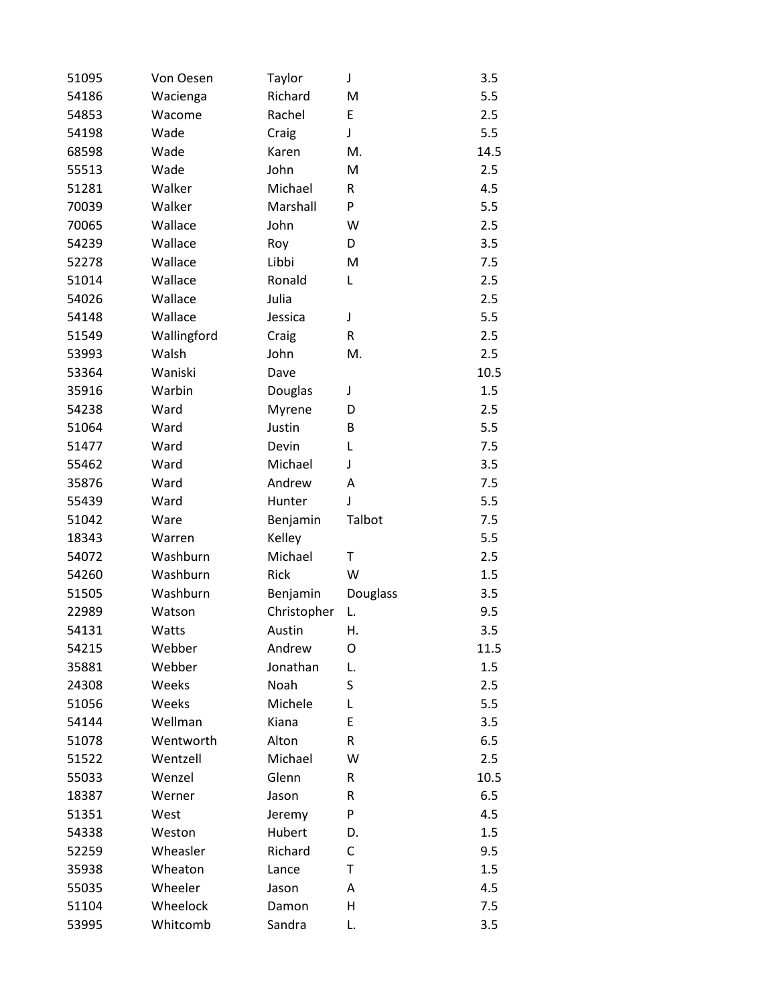| 51095 | Von Oesen   | Taylor      | J        | 3.5  |
|-------|-------------|-------------|----------|------|
| 54186 | Wacienga    | Richard     | M        | 5.5  |
| 54853 | Wacome      | Rachel      | E        | 2.5  |
| 54198 | Wade        | Craig       | J        | 5.5  |
| 68598 | Wade        | Karen       | M.       | 14.5 |
| 55513 | Wade        | John        | M        | 2.5  |
| 51281 | Walker      | Michael     | R        | 4.5  |
| 70039 | Walker      | Marshall    | P        | 5.5  |
| 70065 | Wallace     | John        | W        | 2.5  |
| 54239 | Wallace     | Roy         | D        | 3.5  |
| 52278 | Wallace     | Libbi       | M        | 7.5  |
| 51014 | Wallace     | Ronald      | L        | 2.5  |
| 54026 | Wallace     | Julia       |          | 2.5  |
| 54148 | Wallace     | Jessica     | J        | 5.5  |
| 51549 | Wallingford | Craig       | R        | 2.5  |
| 53993 | Walsh       | John        | M.       | 2.5  |
| 53364 | Waniski     | Dave        |          | 10.5 |
| 35916 | Warbin      | Douglas     | J        | 1.5  |
| 54238 | Ward        | Myrene      | D        | 2.5  |
| 51064 | Ward        | Justin      | B        | 5.5  |
| 51477 | Ward        | Devin       | L        | 7.5  |
| 55462 | Ward        | Michael     | J        | 3.5  |
| 35876 | Ward        | Andrew      | Α        | 7.5  |
| 55439 | Ward        | Hunter      | J        | 5.5  |
| 51042 | Ware        | Benjamin    | Talbot   | 7.5  |
| 18343 | Warren      | Kelley      |          | 5.5  |
| 54072 | Washburn    | Michael     | Τ        | 2.5  |
| 54260 | Washburn    | <b>Rick</b> | W        | 1.5  |
| 51505 | Washburn    | Benjamin    | Douglass | 3.5  |
| 22989 | Watson      | Christopher | L.       | 9.5  |
| 54131 | Watts       | Austin      | Η.       | 3.5  |
| 54215 | Webber      | Andrew      | O        | 11.5 |
| 35881 | Webber      | Jonathan    | L.       | 1.5  |
| 24308 | Weeks       | Noah        | S        | 2.5  |
| 51056 | Weeks       | Michele     | L        | 5.5  |
| 54144 | Wellman     | Kiana       | E        | 3.5  |
| 51078 | Wentworth   | Alton       | R        | 6.5  |
| 51522 | Wentzell    | Michael     | W        | 2.5  |
| 55033 | Wenzel      | Glenn       | R        | 10.5 |
| 18387 | Werner      | Jason       | R        | 6.5  |
| 51351 | West        | Jeremy      | P        | 4.5  |
| 54338 | Weston      | Hubert      | D.       | 1.5  |
| 52259 | Wheasler    | Richard     | C        | 9.5  |
| 35938 | Wheaton     | Lance       | Τ        | 1.5  |
| 55035 | Wheeler     | Jason       | Α        | 4.5  |
| 51104 | Wheelock    | Damon       | Η        | 7.5  |
| 53995 | Whitcomb    | Sandra      | L.       | 3.5  |